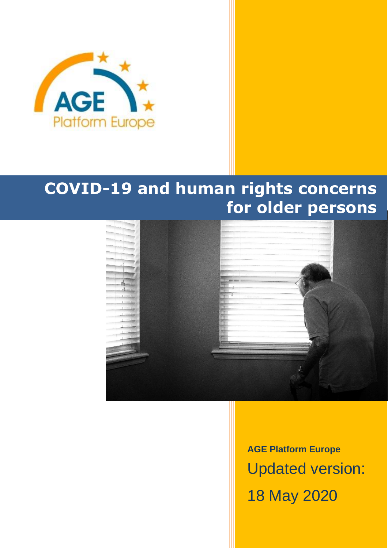

# **COVID-19 and human rights concerns for older persons**



**AGE Platform Europe** Updated version: 18 May 2020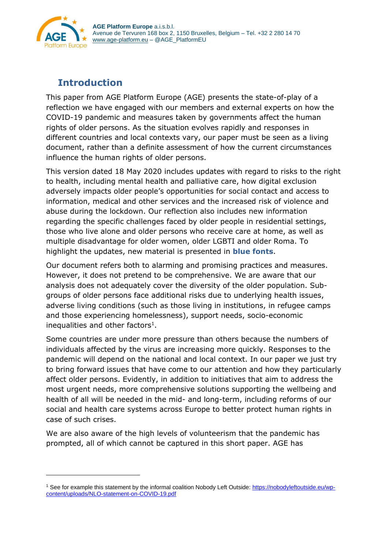

# <span id="page-1-0"></span>**Introduction**

This paper from AGE Platform Europe (AGE) presents the state-of-play of a reflection we have engaged with our members and external experts on how the COVID-19 pandemic and measures taken by governments affect the human rights of older persons. As the situation evolves rapidly and responses in different countries and local contexts vary, our paper must be seen as a living document, rather than a definite assessment of how the current circumstances influence the human rights of older persons.

This version dated 18 May 2020 includes updates with regard to risks to the right to health, including mental health and palliative care, how digital exclusion adversely impacts older people's opportunities for social contact and access to information, medical and other services and the increased risk of violence and abuse during the lockdown. Our reflection also includes new information regarding the specific challenges faced by older people in residential settings, those who live alone and older persons who receive care at home, as well as multiple disadvantage for older women, older LGBTI and older Roma. To highlight the updates, new material is presented in **blue fonts**.

Our document refers both to alarming and promising practices and measures. However, it does not pretend to be comprehensive. We are aware that our analysis does not adequately cover the diversity of the older population. Subgroups of older persons face additional risks due to underlying health issues, adverse living conditions (such as those living in institutions, in refugee camps and those experiencing homelessness), support needs, socio-economic inequalities and other factors<sup>1</sup>.

Some countries are under more pressure than others because the numbers of individuals affected by the virus are increasing more quickly. Responses to the pandemic will depend on the national and local context. In our paper we just try to bring forward issues that have come to our attention and how they particularly affect older persons. Evidently, in addition to initiatives that aim to address the most urgent needs, more comprehensive solutions supporting the wellbeing and health of all will be needed in the mid- and long-term, including reforms of our social and health care systems across Europe to better protect human rights in case of such crises.

We are also aware of the high levels of volunteerism that the pandemic has prompted, all of which cannot be captured in this short paper. AGE has

<sup>&</sup>lt;sup>1</sup> See for example this statement by the informal coalition Nobody Left Outside: [https://nobodyleftoutside.eu/wp](https://nobodyleftoutside.eu/wp-content/uploads/NLO-statement-on-COVID-19.pdf)[content/uploads/NLO-statement-on-COVID-19.pdf](https://nobodyleftoutside.eu/wp-content/uploads/NLO-statement-on-COVID-19.pdf)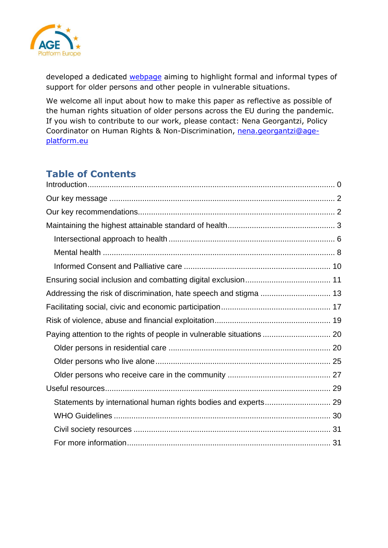

developed a dedicated [webpage](https://www.age-platform.eu/coronavirus-covid-19) aiming to highlight formal and informal types of support for older persons and other people in vulnerable situations.

We welcome all input about how to make this paper as reflective as possible of the human rights situation of older persons across the EU during the pandemic. If you wish to contribute to our work, please contact: Nena Georgantzi, Policy Coordinator on Human Rights & Non-Discrimination, [nena.georgantzi@age](mailto:nena.georgantzi@age-platform.eu)[platform.eu](mailto:nena.georgantzi@age-platform.eu)

# **Table of Contents**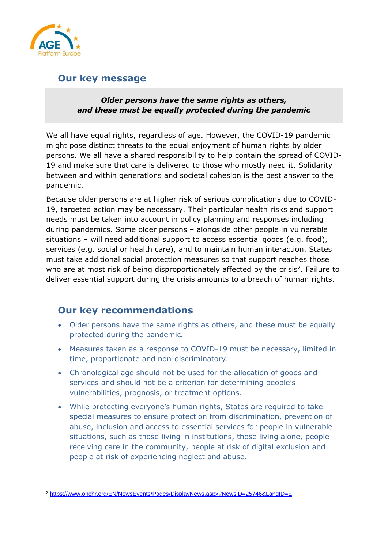

### <span id="page-3-0"></span>**Our key message**

### *Older persons have the same rights as others, and these must be equally protected during the pandemic*

We all have equal rights, regardless of age. However, the COVID-19 pandemic might pose distinct threats to the equal enjoyment of human rights by older persons. We all have a shared responsibility to help contain the spread of COVID-19 and make sure that care is delivered to those who mostly need it. Solidarity between and within generations and societal cohesion is the best answer to the pandemic.

Because older persons are at higher risk of serious complications due to COVID-19, targeted action may be necessary. Their particular health risks and support needs must be taken into account in policy planning and responses including during pandemics. Some older persons – alongside other people in vulnerable situations – will need additional support to access essential goods (e.g. food), services (e.g. social or health care), and to maintain human interaction. States must take additional social protection measures so that support reaches those who are at most risk of being disproportionately affected by the crisis<sup>2</sup>. Failure to deliver essential support during the crisis amounts to a breach of human rights.

### <span id="page-3-1"></span>**Our key recommendations**

- Older persons have the same rights as others, and these must be equally protected during the pandemic*.*
- Measures taken as a response to COVID-19 must be necessary, limited in time, proportionate and non-discriminatory.
- Chronological age should not be used for the allocation of goods and services and should not be a criterion for determining people's vulnerabilities, prognosis, or treatment options.
- While protecting everyone's human rights, States are required to take special measures to ensure protection from discrimination, prevention of abuse, inclusion and access to essential services for people in vulnerable situations, such as those living in institutions, those living alone, people receiving care in the community, people at risk of digital exclusion and people at risk of experiencing neglect and abuse.

<sup>2</sup> <https://www.ohchr.org/EN/NewsEvents/Pages/DisplayNews.aspx?NewsID=25746&LangID=E>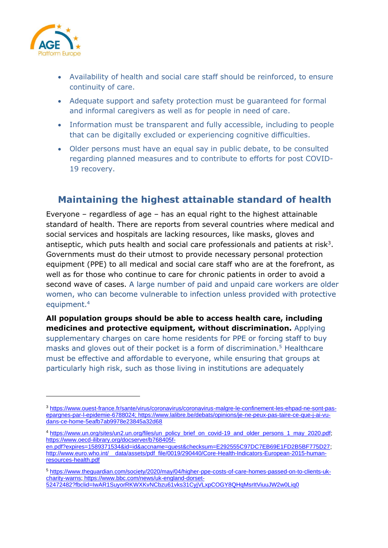

- Availability of health and social care staff should be reinforced, to ensure continuity of care.
- Adequate support and safety protection must be guaranteed for formal and informal caregivers as well as for people in need of care.
- Information must be transparent and fully accessible, including to people that can be digitally excluded or experiencing cognitive difficulties.
- Older persons must have an equal say in public debate, to be consulted regarding planned measures and to contribute to efforts for post COVID-19 recovery.

### <span id="page-4-0"></span>**Maintaining the highest attainable standard of health**

Everyone – regardless of age – has an equal right to the highest attainable standard of health. There are reports from several countries where medical and social services and hospitals are lacking resources, like masks, gloves and antiseptic, which puts health and social care professionals and patients at risk<sup>3</sup>. Governments must do their utmost to provide necessary personal protection equipment (PPE) to all medical and social care staff who are at the forefront, as well as for those who continue to care for chronic patients in order to avoid a second wave of cases. A large number of paid and unpaid care workers are older women, who can become vulnerable to infection unless provided with protective equipment.<sup>4</sup>

**All population groups should be able to access health care, including medicines and protective equipment, without discrimination.** Applying supplementary charges on care home residents for PPE or forcing staff to buy masks and gloves out of their pocket is a form of discrimination.<sup>5</sup> Healthcare must be effective and affordable to everyone, while ensuring that groups at particularly high risk, such as those living in institutions are adequately

<sup>3</sup> [https://www.ouest-france.fr/sante/virus/coronavirus/coronavirus-malgre-le-confinement-les-ehpad-ne-sont-pas](https://www.ouest-france.fr/sante/virus/coronavirus/coronavirus-malgre-le-confinement-les-ehpad-ne-sont-pas-epargnes-par-l-epidemie-6788024)[epargnes-par-l-epidemie-6788024;](https://www.ouest-france.fr/sante/virus/coronavirus/coronavirus-malgre-le-confinement-les-ehpad-ne-sont-pas-epargnes-par-l-epidemie-6788024) [https://www.lalibre.be/debats/opinions/je-ne-peux-pas-taire-ce-que-j-ai-vu](https://www.lalibre.be/debats/opinions/je-ne-peux-pas-taire-ce-que-j-ai-vu-dans-ce-home-5eafb7ab9978e23845a32d68)[dans-ce-home-5eafb7ab9978e23845a32d68](https://www.lalibre.be/debats/opinions/je-ne-peux-pas-taire-ce-que-j-ai-vu-dans-ce-home-5eafb7ab9978e23845a32d68)

<sup>4</sup> [https://www.un.org/sites/un2.un.org/files/un\\_policy\\_brief\\_on\\_covid-19\\_and\\_older\\_persons\\_1\\_may\\_2020.pdf;](https://www.un.org/sites/un2.un.org/files/un_policy_brief_on_covid-19_and_older_persons_1_may_2020.pdf) [https://www.oecd-ilibrary.org/docserver/b768405f-](https://www.oecd-ilibrary.org/docserver/b768405f-en.pdf?expires=1589371534&id=id&accname=guest&checksum=E292555C97DC7EB69E1FD2B5BF775D27)

[en.pdf?expires=1589371534&id=id&accname=guest&checksum=E292555C97DC7EB69E1FD2B5BF775D27;](https://www.oecd-ilibrary.org/docserver/b768405f-en.pdf?expires=1589371534&id=id&accname=guest&checksum=E292555C97DC7EB69E1FD2B5BF775D27) http://www.euro.who.int/ data/assets/pdf file/0019/290440/Core-Health-Indicators-European-2015-human[resources-health.pdf](http://www.euro.who.int/__data/assets/pdf_file/0019/290440/Core-Health-Indicators-European-2015-human-resources-health.pdf)

<sup>5</sup> [https://www.theguardian.com/society/2020/may/04/higher-ppe-costs-of-care-homes-passed-on-to-clients-uk](https://www.theguardian.com/society/2020/may/04/higher-ppe-costs-of-care-homes-passed-on-to-clients-uk-charity-warns)[charity-warns;](https://www.theguardian.com/society/2020/may/04/higher-ppe-costs-of-care-homes-passed-on-to-clients-uk-charity-warns) [https://www.bbc.com/news/uk-england-dorset-](https://www.bbc.com/news/uk-england-dorset-52472482?fbclid=IwAR1SuyorRKWXKvNCbzu61vks31CyjVLxpCOGY8QHqMsrItViuuJW2w0Liq0)[52472482?fbclid=IwAR1SuyorRKWXKvNCbzu61vks31CyjVLxpCOGY8QHqMsrItViuuJW2w0Liq0](https://www.bbc.com/news/uk-england-dorset-52472482?fbclid=IwAR1SuyorRKWXKvNCbzu61vks31CyjVLxpCOGY8QHqMsrItViuuJW2w0Liq0)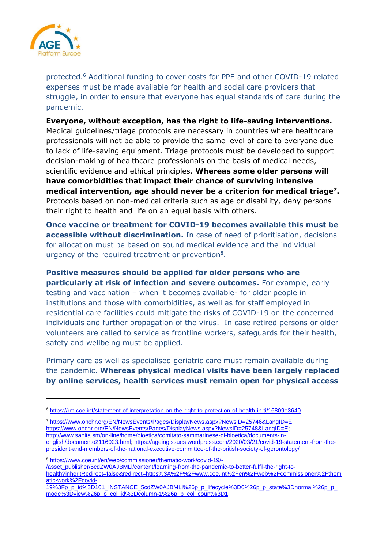

protected.<sup>6</sup> Additional funding to cover costs for PPE and other COVID-19 related expenses must be made available for health and social care providers that struggle, in order to ensure that everyone has equal standards of care during the pandemic.

**Everyone, without exception, has the right to life-saving interventions.** Medical guidelines/triage protocols are necessary in countries where healthcare professionals will not be able to provide the same level of care to everyone due to lack of life-saving equipment. Triage protocols must be developed to support decision-making of healthcare professionals on the basis of medical needs, scientific evidence and ethical principles. **Whereas some older persons will have comorbidities that impact their chance of surviving intensive medical intervention, age should never be a criterion for medical triage<sup>7</sup> .** Protocols based on non-medical criteria such as age or disability, deny persons their right to health and life on an equal basis with others.

**Once vaccine or treatment for COVID-19 becomes available this must be accessible without discrimination.** In case of need of prioritisation, decisions for allocation must be based on sound medical evidence and the individual urgency of the required treatment or prevention<sup>8</sup>.

**Positive measures should be applied for older persons who are particularly at risk of infection and severe outcomes.** For example, early testing and vaccination – when it becomes available- for older people in institutions and those with comorbidities, as well as for staff employed in residential care facilities could mitigate the risks of COVID-19 on the concerned individuals and further propagation of the virus. In case retired persons or older volunteers are called to service as frontline workers, safeguards for their health, safety and wellbeing must be applied.

Primary care as well as specialised geriatric care must remain available during the pandemic. **Whereas physical medical visits have been largely replaced by online services, health services must remain open for physical access**

<sup>7</sup> [https://www.ohchr.org/EN/NewsEvents/Pages/DisplayNews.aspx?NewsID=25746&LangID=E;](https://www.ohchr.org/EN/NewsEvents/Pages/DisplayNews.aspx?NewsID=25746&LangID=E) [https://www.ohchr.org/EN/NewsEvents/Pages/DisplayNews.aspx?NewsID=25748&LangID=E;](https://www.ohchr.org/EN/NewsEvents/Pages/DisplayNews.aspx?NewsID=25748&LangID=E) [http://www.sanita.sm/on-line/home/bioetica/comitato-sammarinese-di-bioetica/documents-in](http://www.sanita.sm/on-line/home/bioetica/comitato-sammarinese-di-bioetica/documents-in-english/documento2116023.html)[english/documento2116023.html;](http://www.sanita.sm/on-line/home/bioetica/comitato-sammarinese-di-bioetica/documents-in-english/documento2116023.html) [https://ageingissues.wordpress.com/2020/03/21/covid-19-statement-from-the](https://ageingissues.wordpress.com/2020/03/21/covid-19-statement-from-the-president-and-members-of-the-national-executive-committee-of-the-british-society-of-gerontology/)[president-and-members-of-the-national-executive-committee-of-the-british-society-of-gerontology/](https://ageingissues.wordpress.com/2020/03/21/covid-19-statement-from-the-president-and-members-of-the-national-executive-committee-of-the-british-society-of-gerontology/)

<sup>8</sup> [https://www.coe.int/en/web/commissioner/thematic-work/covid-19/-](https://www.coe.int/en/web/commissioner/thematic-work/covid-19/-/asset_publisher/5cdZW0AJBMLl/content/learning-from-the-pandemic-to-better-fulfil-the-right-to-health?inheritRedirect=false&redirect=https%3A%2F%2Fwww.coe.int%2Fen%2Fweb%2Fcommissioner%2Fthematic-work%2Fcovid-19%3Fp_p_id%3D101_INSTANCE_5cdZW0AJBMLl%26p_p_lifecycle%3D0%26p_p_state%3Dnormal%26p_p_mode%3Dview%26p_p_col_id%3Dcolumn-1%26p_p_col_count%3D1)

[/asset\\_publisher/5cdZW0AJBMLl/content/learning-from-the-pandemic-to-better-fulfil-the-right-to-](https://www.coe.int/en/web/commissioner/thematic-work/covid-19/-/asset_publisher/5cdZW0AJBMLl/content/learning-from-the-pandemic-to-better-fulfil-the-right-to-health?inheritRedirect=false&redirect=https%3A%2F%2Fwww.coe.int%2Fen%2Fweb%2Fcommissioner%2Fthematic-work%2Fcovid-19%3Fp_p_id%3D101_INSTANCE_5cdZW0AJBMLl%26p_p_lifecycle%3D0%26p_p_state%3Dnormal%26p_p_mode%3Dview%26p_p_col_id%3Dcolumn-1%26p_p_col_count%3D1)

[health?inheritRedirect=false&redirect=https%3A%2F%2Fwww.coe.int%2Fen%2Fweb%2Fcommissioner%2Fthem](https://www.coe.int/en/web/commissioner/thematic-work/covid-19/-/asset_publisher/5cdZW0AJBMLl/content/learning-from-the-pandemic-to-better-fulfil-the-right-to-health?inheritRedirect=false&redirect=https%3A%2F%2Fwww.coe.int%2Fen%2Fweb%2Fcommissioner%2Fthematic-work%2Fcovid-19%3Fp_p_id%3D101_INSTANCE_5cdZW0AJBMLl%26p_p_lifecycle%3D0%26p_p_state%3Dnormal%26p_p_mode%3Dview%26p_p_col_id%3Dcolumn-1%26p_p_col_count%3D1) [atic-work%2Fcovid-](https://www.coe.int/en/web/commissioner/thematic-work/covid-19/-/asset_publisher/5cdZW0AJBMLl/content/learning-from-the-pandemic-to-better-fulfil-the-right-to-health?inheritRedirect=false&redirect=https%3A%2F%2Fwww.coe.int%2Fen%2Fweb%2Fcommissioner%2Fthematic-work%2Fcovid-19%3Fp_p_id%3D101_INSTANCE_5cdZW0AJBMLl%26p_p_lifecycle%3D0%26p_p_state%3Dnormal%26p_p_mode%3Dview%26p_p_col_id%3Dcolumn-1%26p_p_col_count%3D1)

[19%3Fp\\_p\\_id%3D101\\_INSTANCE\\_5cdZW0AJBMLl%26p\\_p\\_lifecycle%3D0%26p\\_p\\_state%3Dnormal%26p\\_p\\_](https://www.coe.int/en/web/commissioner/thematic-work/covid-19/-/asset_publisher/5cdZW0AJBMLl/content/learning-from-the-pandemic-to-better-fulfil-the-right-to-health?inheritRedirect=false&redirect=https%3A%2F%2Fwww.coe.int%2Fen%2Fweb%2Fcommissioner%2Fthematic-work%2Fcovid-19%3Fp_p_id%3D101_INSTANCE_5cdZW0AJBMLl%26p_p_lifecycle%3D0%26p_p_state%3Dnormal%26p_p_mode%3Dview%26p_p_col_id%3Dcolumn-1%26p_p_col_count%3D1) [mode%3Dview%26p\\_p\\_col\\_id%3Dcolumn-1%26p\\_p\\_col\\_count%3D1](https://www.coe.int/en/web/commissioner/thematic-work/covid-19/-/asset_publisher/5cdZW0AJBMLl/content/learning-from-the-pandemic-to-better-fulfil-the-right-to-health?inheritRedirect=false&redirect=https%3A%2F%2Fwww.coe.int%2Fen%2Fweb%2Fcommissioner%2Fthematic-work%2Fcovid-19%3Fp_p_id%3D101_INSTANCE_5cdZW0AJBMLl%26p_p_lifecycle%3D0%26p_p_state%3Dnormal%26p_p_mode%3Dview%26p_p_col_id%3Dcolumn-1%26p_p_col_count%3D1)

<sup>6</sup> <https://rm.coe.int/statement-of-interpretation-on-the-right-to-protection-of-health-in-ti/16809e3640>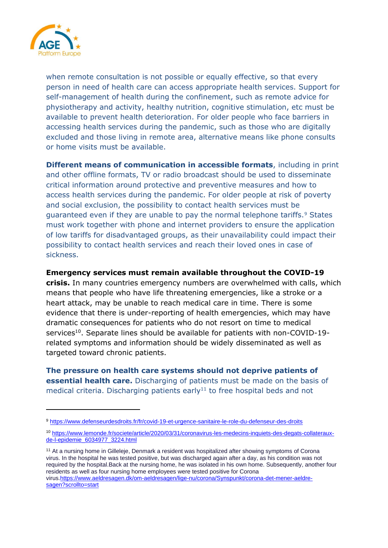

when remote consultation is not possible or equally effective, so that every person in need of health care can access appropriate health services. Support for self-management of health during the confinement, such as remote advice for physiotherapy and activity, healthy nutrition, cognitive stimulation, etc must be available to prevent health deterioration. For older people who face barriers in accessing health services during the pandemic, such as those who are digitally excluded and those living in remote area, alternative means like phone consults or home visits must be available.

**Different means of communication in accessible formats**, including in print and other offline formats, TV or radio broadcast should be used to disseminate critical information around protective and preventive measures and how to access health services during the pandemic. For older people at risk of poverty and social exclusion, the possibility to contact health services must be guaranteed even if they are unable to pay the normal telephone tariffs.<sup>9</sup> States must work together with phone and internet providers to ensure the application of low tariffs for disadvantaged groups, as their unavailability could impact their possibility to contact health services and reach their loved ones in case of sickness.

#### **Emergency services must remain available throughout the COVID-19**

**crisis.** In many countries emergency numbers are overwhelmed with calls, which means that people who have life threatening emergencies, like a stroke or a heart attack, may be unable to reach medical care in time. There is some evidence that there is under-reporting of health emergencies, which may have dramatic consequences for patients who do not resort on time to medical services<sup>10</sup>. Separate lines should be available for patients with non-COVID-19related symptoms and information should be widely disseminated as well as targeted toward chronic patients.

**The pressure on health care systems should not deprive patients of essential health care.** Discharging of patients must be made on the basis of medical criteria. Discharging patients early<sup>11</sup> to free hospital beds and not

<sup>11</sup> At a nursing home in Gilleleje, Denmark a resident was hospitalized after showing symptoms of Corona virus. In the hospital he was tested positive, but was discharged again after a day, as his condition was not required by the hospital.Back at the nursing home, he was isolated in his own home. Subsequently, another four residents as well as four nursing home employees were tested positive for Corona virus[.https://www.aeldresagen.dk/om-aeldresagen/lige-nu/corona/Synspunkt/corona-det-mener-aeldre](https://www.aeldresagen.dk/om-aeldresagen/lige-nu/corona/Synspunkt/corona-det-mener-aeldre-sagen?scrollto=start)[sagen?scrollto=start](https://www.aeldresagen.dk/om-aeldresagen/lige-nu/corona/Synspunkt/corona-det-mener-aeldre-sagen?scrollto=start)

<sup>9</sup> <https://www.defenseurdesdroits.fr/fr/covid-19-et-urgence-sanitaire-le-role-du-defenseur-des-droits>

<sup>10</sup> [https://www.lemonde.fr/societe/article/2020/03/31/coronavirus-les-medecins-inquiets-des-degats-collateraux](https://www.lemonde.fr/societe/article/2020/03/31/coronavirus-les-medecins-inquiets-des-degats-collateraux-de-l-epidemie_6034977_3224.html)[de-l-epidemie\\_6034977\\_3224.html](https://www.lemonde.fr/societe/article/2020/03/31/coronavirus-les-medecins-inquiets-des-degats-collateraux-de-l-epidemie_6034977_3224.html)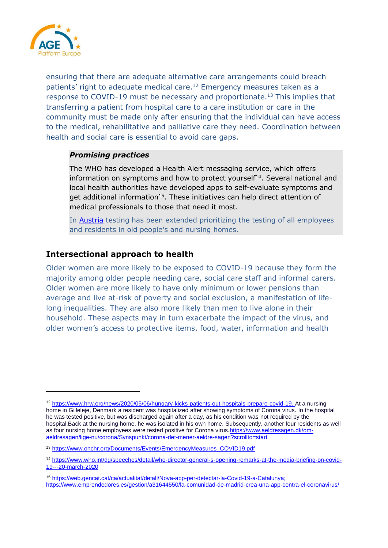

ensuring that there are adequate alternative care arrangements could breach patients' right to adequate medical care.<sup>12</sup> Emergency measures taken as a response to COVID-19 must be necessary and proportionate.<sup>13</sup> This implies that transferring a patient from hospital care to a care institution or care in the community must be made only after ensuring that the individual can have access to the medical, rehabilitative and palliative care they need. Coordination between health and social care is essential to avoid care gaps.

### *Promising practices*

The WHO has developed a Health Alert messaging service, which offers information on symptoms and how to protect yourself<sup>14</sup>. Several national and local health authorities have developed apps to self-evaluate symptoms and get additional information<sup>15</sup>. These initiatives can help direct attention of medical professionals to those that need it most.

In [Austria](https://www.kleinezeitung.at/politik/5800933/Containment-20_130000-Menschen-in-Altenheimen-werden-getestet) testing has been extended prioritizing the testing of all employees and residents in old people's and nursing homes.

### <span id="page-7-0"></span>**Intersectional approach to health**

Older women are more likely to be exposed to COVID-19 because they form the majority among older people needing care, social care staff and informal carers. Older women are more likely to have only minimum or lower pensions than average and live at-risk of poverty and social exclusion, a manifestation of lifelong inequalities. They are also more likely than men to live alone in their household. These aspects may in turn exacerbate the impact of the virus, and older women's access to protective items, food, water, information and health

<sup>12</sup> [https://www.hrw.org/news/2020/05/06/hungary-kicks-patients-out-hospitals-prepare-covid-19.](https://www.hrw.org/news/2020/05/06/hungary-kicks-patients-out-hospitals-prepare-covid-19) At a nursing home in Gilleleje, Denmark a resident was hospitalized after showing symptoms of Corona virus. In the hospital he was tested positive, but was discharged again after a day, as his condition was not required by the hospital.Back at the nursing home, he was isolated in his own home. Subsequently, another four residents as well as four nursing home employees were tested positive for Corona virus[.https://www.aeldresagen.dk/om](https://www.aeldresagen.dk/om-aeldresagen/lige-nu/corona/Synspunkt/corona-det-mener-aeldre-sagen?scrollto=start)[aeldresagen/lige-nu/corona/Synspunkt/corona-det-mener-aeldre-sagen?scrollto=start](https://www.aeldresagen.dk/om-aeldresagen/lige-nu/corona/Synspunkt/corona-det-mener-aeldre-sagen?scrollto=start)

<sup>13</sup> [https://www.ohchr.org/Documents/Events/EmergencyMeasures\\_COVID19.pdf](https://www.ohchr.org/Documents/Events/EmergencyMeasures_COVID19.pdf)

<sup>14</sup> [https://www.who.int/dg/speeches/detail/who-director-general-s-opening-remarks-at-the-media-briefing-on-covid-](https://www.who.int/dg/speeches/detail/who-director-general-s-opening-remarks-at-the-media-briefing-on-covid-19---20-march-2020)[19---20-march-2020](https://www.who.int/dg/speeches/detail/who-director-general-s-opening-remarks-at-the-media-briefing-on-covid-19---20-march-2020)

<sup>15</sup> [https://web.gencat.cat/ca/actualitat/detall/Nova-app-per-detectar-la-Covid-19-a-Catalunya;](https://web.gencat.cat/ca/actualitat/detall/Nova-app-per-detectar-la-Covid-19-a-Catalunya) <https://www.emprendedores.es/gestion/a31644550/la-comunidad-de-madrid-crea-una-app-contra-el-coronavirus/>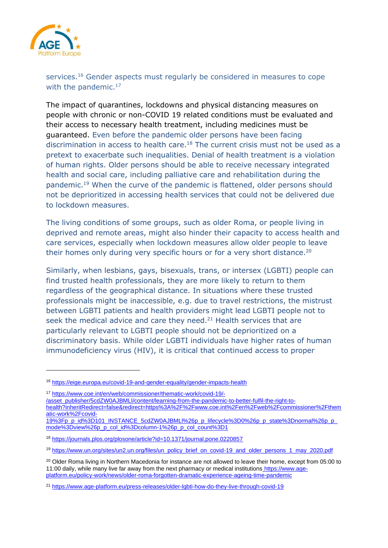

services.<sup>16</sup> Gender aspects must regularly be considered in measures to cope with the pandemic.<sup>17</sup>

The impact of quarantines, lockdowns and physical distancing measures on people with chronic or non-COVID 19 related conditions must be evaluated and their access to necessary health treatment, including medicines must be guaranteed. Even before the pandemic older persons have been facing discrimination in access to health care.<sup>18</sup> The current crisis must not be used as a pretext to exacerbate such inequalities. Denial of health treatment is a violation of human rights. Older persons should be able to receive necessary integrated health and social care, including palliative care and rehabilitation during the pandemic.<sup>19</sup> When the curve of the pandemic is flattened, older persons should not be deprioritized in accessing health services that could not be delivered due to lockdown measures.

The living conditions of some groups, such as older Roma, or people living in deprived and remote areas, might also hinder their capacity to access health and care services, especially when lockdown measures allow older people to leave their homes only during very specific hours or for a very short distance.<sup>20</sup>

Similarly, when lesbians, gays, bisexuals, trans, or intersex (LGBTI) people can find trusted health professionals, they are more likely to return to them regardless of the geographical distance. In situations where these trusted professionals might be inaccessible, e.g. due to travel restrictions, the mistrust between LGBTI patients and health providers might lead LGBTI people not to seek the medical advice and care they need. $21$  Health services that are particularly relevant to LGBTI people should not be deprioritized on a discriminatory basis. While older LGBTI individuals have higher rates of human immunodeficiency virus (HIV), it is critical that continued access to proper

[/asset\\_publisher/5cdZW0AJBMLl/content/learning-from-the-pandemic-to-better-fulfil-the-right-to-](https://www.coe.int/en/web/commissioner/thematic-work/covid-19/-/asset_publisher/5cdZW0AJBMLl/content/learning-from-the-pandemic-to-better-fulfil-the-right-to-health?inheritRedirect=false&redirect=https%3A%2F%2Fwww.coe.int%2Fen%2Fweb%2Fcommissioner%2Fthematic-work%2Fcovid-19%3Fp_p_id%3D101_INSTANCE_5cdZW0AJBMLl%26p_p_lifecycle%3D0%26p_p_state%3Dnormal%26p_p_mode%3Dview%26p_p_col_id%3Dcolumn-1%26p_p_col_count%3D1)

<sup>16</sup> <https://eige.europa.eu/covid-19-and-gender-equality/gender-impacts-health>

<sup>17</sup> [https://www.coe.int/en/web/commissioner/thematic-work/covid-19/-](https://www.coe.int/en/web/commissioner/thematic-work/covid-19/-/asset_publisher/5cdZW0AJBMLl/content/learning-from-the-pandemic-to-better-fulfil-the-right-to-health?inheritRedirect=false&redirect=https%3A%2F%2Fwww.coe.int%2Fen%2Fweb%2Fcommissioner%2Fthematic-work%2Fcovid-19%3Fp_p_id%3D101_INSTANCE_5cdZW0AJBMLl%26p_p_lifecycle%3D0%26p_p_state%3Dnormal%26p_p_mode%3Dview%26p_p_col_id%3Dcolumn-1%26p_p_col_count%3D1)

[health?inheritRedirect=false&redirect=https%3A%2F%2Fwww.coe.int%2Fen%2Fweb%2Fcommissioner%2Fthem](https://www.coe.int/en/web/commissioner/thematic-work/covid-19/-/asset_publisher/5cdZW0AJBMLl/content/learning-from-the-pandemic-to-better-fulfil-the-right-to-health?inheritRedirect=false&redirect=https%3A%2F%2Fwww.coe.int%2Fen%2Fweb%2Fcommissioner%2Fthematic-work%2Fcovid-19%3Fp_p_id%3D101_INSTANCE_5cdZW0AJBMLl%26p_p_lifecycle%3D0%26p_p_state%3Dnormal%26p_p_mode%3Dview%26p_p_col_id%3Dcolumn-1%26p_p_col_count%3D1) [atic-work%2Fcovid-](https://www.coe.int/en/web/commissioner/thematic-work/covid-19/-/asset_publisher/5cdZW0AJBMLl/content/learning-from-the-pandemic-to-better-fulfil-the-right-to-health?inheritRedirect=false&redirect=https%3A%2F%2Fwww.coe.int%2Fen%2Fweb%2Fcommissioner%2Fthematic-work%2Fcovid-19%3Fp_p_id%3D101_INSTANCE_5cdZW0AJBMLl%26p_p_lifecycle%3D0%26p_p_state%3Dnormal%26p_p_mode%3Dview%26p_p_col_id%3Dcolumn-1%26p_p_col_count%3D1)

[<sup>19%3</sup>Fp\\_p\\_id%3D101\\_INSTANCE\\_5cdZW0AJBMLl%26p\\_p\\_lifecycle%3D0%26p\\_p\\_state%3Dnormal%26p\\_p\\_](https://www.coe.int/en/web/commissioner/thematic-work/covid-19/-/asset_publisher/5cdZW0AJBMLl/content/learning-from-the-pandemic-to-better-fulfil-the-right-to-health?inheritRedirect=false&redirect=https%3A%2F%2Fwww.coe.int%2Fen%2Fweb%2Fcommissioner%2Fthematic-work%2Fcovid-19%3Fp_p_id%3D101_INSTANCE_5cdZW0AJBMLl%26p_p_lifecycle%3D0%26p_p_state%3Dnormal%26p_p_mode%3Dview%26p_p_col_id%3Dcolumn-1%26p_p_col_count%3D1) [mode%3Dview%26p\\_p\\_col\\_id%3Dcolumn-1%26p\\_p\\_col\\_count%3D1](https://www.coe.int/en/web/commissioner/thematic-work/covid-19/-/asset_publisher/5cdZW0AJBMLl/content/learning-from-the-pandemic-to-better-fulfil-the-right-to-health?inheritRedirect=false&redirect=https%3A%2F%2Fwww.coe.int%2Fen%2Fweb%2Fcommissioner%2Fthematic-work%2Fcovid-19%3Fp_p_id%3D101_INSTANCE_5cdZW0AJBMLl%26p_p_lifecycle%3D0%26p_p_state%3Dnormal%26p_p_mode%3Dview%26p_p_col_id%3Dcolumn-1%26p_p_col_count%3D1)

<sup>18</sup> <https://journals.plos.org/plosone/article?id=10.1371/journal.pone.0220857>

<sup>19</sup> [https://www.un.org/sites/un2.un.org/files/un\\_policy\\_brief\\_on\\_covid-19\\_and\\_older\\_persons\\_1\\_may\\_2020.pdf](https://www.un.org/sites/un2.un.org/files/un_policy_brief_on_covid-19_and_older_persons_1_may_2020.pdf)

<sup>&</sup>lt;sup>20</sup> Older Roma living in Northern Macedonia for instance are not allowed to leave their home, except from 05:00 to 11:00 daily, while many live far away from the next pharmacy or medical institutions [https://www.age](https://www.age-platform.eu/policy-work/news/older-roma-forgotten-dramatic-experience-ageing-time-pandemic)[platform.eu/policy-work/news/older-roma-forgotten-dramatic-experience-ageing-time-pandemic](https://www.age-platform.eu/policy-work/news/older-roma-forgotten-dramatic-experience-ageing-time-pandemic)

<sup>21</sup> <https://www.age-platform.eu/press-releases/older-lgbti-how-do-they-live-through-covid-19>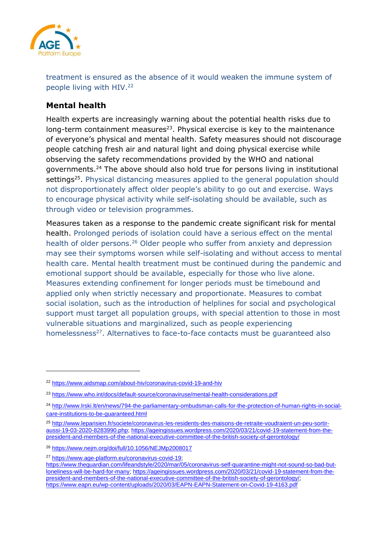

treatment is ensured as the absence of it would weaken the immune system of people living with HIV.<sup>22</sup>

### <span id="page-9-0"></span>**Mental health**

Health experts are increasingly warning about the potential health risks due to long-term containment measures<sup>23</sup>. Physical exercise is key to the maintenance of everyone's physical and mental health. Safety measures should not discourage people catching fresh air and natural light and doing physical exercise while observing the safety recommendations provided by the WHO and national governments.<sup>24</sup> The above should also hold true for persons living in institutional settings<sup>25</sup>. Physical distancing measures applied to the general population should not disproportionately affect older people's ability to go out and exercise. Ways to encourage physical activity while self-isolating should be available, such as through video or television programmes.

Measures taken as a response to the pandemic create significant risk for mental health. Prolonged periods of isolation could have a serious effect on the mental health of older persons.<sup>26</sup> Older people who suffer from anxiety and depression may see their symptoms worsen while self-isolating and without access to mental health care. Mental health treatment must be continued during the pandemic and emotional support should be available, especially for those who live alone. Measures extending confinement for longer periods must be timebound and applied only when strictly necessary and proportionate. Measures to combat social isolation, such as the introduction of helplines for social and psychological support must target all population groups, with special attention to those in most vulnerable situations and marginalized, such as people experiencing homelessness<sup>27</sup>. Alternatives to face-to-face contacts must be guaranteed also

<sup>22</sup> <https://www.aidsmap.com/about-hiv/coronavirus-covid-19-and-hiv>

<sup>23</sup> <https://www.who.int/docs/default-source/coronaviruse/mental-health-considerations.pdf>

<sup>24</sup> [http://www.lrski.lt/en/news/794-the-parliamentary-ombudsman-calls-for-the-protection-of-human-rights-in-social](http://www.lrski.lt/en/news/794-the-parliamentary-ombudsman-calls-for-the-protection-of-human-rights-in-social-care-institutions-to-be-guaranteed.html)[care-institutions-to-be-guaranteed.html](http://www.lrski.lt/en/news/794-the-parliamentary-ombudsman-calls-for-the-protection-of-human-rights-in-social-care-institutions-to-be-guaranteed.html)

<sup>25</sup> [http://www.leparisien.fr/societe/coronavirus-les-residents-des-maisons-de-retraite-voudraient-un-peu-sortir](http://www.leparisien.fr/societe/coronavirus-les-residents-des-maisons-de-retraite-voudraient-un-peu-sortir-aussi-19-03-2020-8283990.php)[aussi-19-03-2020-8283990.php;](http://www.leparisien.fr/societe/coronavirus-les-residents-des-maisons-de-retraite-voudraient-un-peu-sortir-aussi-19-03-2020-8283990.php) [https://ageingissues.wordpress.com/2020/03/21/covid-19-statement-from-the](https://ageingissues.wordpress.com/2020/03/21/covid-19-statement-from-the-president-and-members-of-the-national-executive-committee-of-the-british-society-of-gerontology/)[president-and-members-of-the-national-executive-committee-of-the-british-society-of-gerontology/](https://ageingissues.wordpress.com/2020/03/21/covid-19-statement-from-the-president-and-members-of-the-national-executive-committee-of-the-british-society-of-gerontology/)

<sup>26</sup> <https://www.nejm.org/doi/full/10.1056/NEJMp2008017>

<sup>27</sup> [https://www.age-platform.eu/coronavirus-covid-19;](https://www.age-platform.eu/coronavirus-covid-19)

[https://www.theguardian.com/lifeandstyle/2020/mar/05/coronavirus-self-quarantine-might-not-sound-so-bad-but](https://www.theguardian.com/lifeandstyle/2020/mar/05/coronavirus-self-quarantine-might-not-sound-so-bad-but-loneliness-will-be-hard-for-many)[loneliness-will-be-hard-for-many;](https://www.theguardian.com/lifeandstyle/2020/mar/05/coronavirus-self-quarantine-might-not-sound-so-bad-but-loneliness-will-be-hard-for-many) [https://ageingissues.wordpress.com/2020/03/21/covid-19-statement-from-the](https://ageingissues.wordpress.com/2020/03/21/covid-19-statement-from-the-president-and-members-of-the-national-executive-committee-of-the-british-society-of-gerontology/)[president-and-members-of-the-national-executive-committee-of-the-british-society-of-gerontology/;](https://ageingissues.wordpress.com/2020/03/21/covid-19-statement-from-the-president-and-members-of-the-national-executive-committee-of-the-british-society-of-gerontology/) <https://www.eapn.eu/wp-content/uploads/2020/03/EAPN-EAPN-Statement-on-Covid-19-4163.pdf>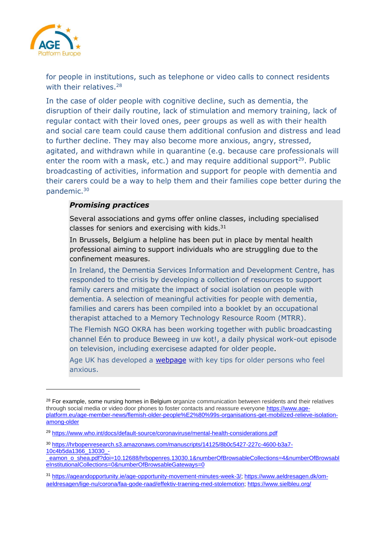

for people in institutions, such as telephone or video calls to connect residents with their relatives.<sup>28</sup>

In the case of older people with cognitive decline, such as dementia, the disruption of their daily routine, lack of stimulation and memory training, lack of regular contact with their loved ones, peer groups as well as with their health and social care team could cause them additional confusion and distress and lead to further decline. They may also become more anxious, angry, stressed, agitated, and withdrawn while in quarantine (e.g. because care professionals will enter the room with a mask, etc.) and may require additional support<sup>29</sup>. Public broadcasting of activities, information and support for people with dementia and their carers could be a way to help them and their families cope better during the pandemic.<sup>30</sup>

### *Promising practices*

Several associations and gyms offer online classes, including specialised classes for seniors and exercising with kids. $31$ 

In Brussels, Belgium a helpline has been put in place by mental health professional aiming to support individuals who are struggling due to the confinement measures.

In Ireland, the Dementia Services Information and Development Centre, has responded to the crisis by developing a collection of resources to support family carers and mitigate the impact of social isolation on people with dementia. A selection of meaningful activities for people with dementia, families and carers has been compiled into a booklet by an occupational therapist attached to a Memory Technology Resource Room (MTRR).

The Flemish NGO OKRA has been working together with public broadcasting channel Eén to produce [Beweeg in uw kot!,](https://www.vrt.be/vrtnu/a-z/beweeg-in-uw-kot-/1/beweeg-in-uw-kot--s1a1/) a daily physical work-out episode on television, including exercisese adapted for older people.

Age UK has developed a [webpage](https://www.ageuk.org.uk/information-advice/coronavirus/staying-safe-and-well-at-home/coronavirus-anxious/) with key tips for older persons who feel anxious.

<sup>&</sup>lt;sup>28</sup> For example, some nursing homes in Belgium organize communication between residents and their relatives through social media or video door phones to foster contacts and reassure everyone [https://www.age](https://www.age-platform.eu/age-member-news/flemish-older-people%E2%80%99s-organisations-get-mobilized-relieve-isolation-among-older)[platform.eu/age-member-news/flemish-older-people%E2%80%99s-organisations-get-mobilized-relieve-isolation](https://www.age-platform.eu/age-member-news/flemish-older-people%E2%80%99s-organisations-get-mobilized-relieve-isolation-among-older)[among-older](https://www.age-platform.eu/age-member-news/flemish-older-people%E2%80%99s-organisations-get-mobilized-relieve-isolation-among-older)

<sup>29</sup> <https://www.who.int/docs/default-source/coronaviruse/mental-health-considerations.pdf>

<sup>30</sup> [https://hrbopenresearch.s3.amazonaws.com/manuscripts/14125/8b0c5427-227c-4600-b3a7-](https://hrbopenresearch.s3.amazonaws.com/manuscripts/14125/8b0c5427-227c-4600-b3a7-10c4b5da1366_13030_-_eamon_o_shea.pdf?doi=10.12688/hrbopenres.13030.1&numberOfBrowsableCollections=4&numberOfBrowsableInstitutionalCollections=0&numberOfBrowsableGateways=0) [10c4b5da1366\\_13030\\_-](https://hrbopenresearch.s3.amazonaws.com/manuscripts/14125/8b0c5427-227c-4600-b3a7-10c4b5da1366_13030_-_eamon_o_shea.pdf?doi=10.12688/hrbopenres.13030.1&numberOfBrowsableCollections=4&numberOfBrowsableInstitutionalCollections=0&numberOfBrowsableGateways=0)

eamon\_o\_shea.pdf?doi=10.12688/hrbopenres.13030.1&numberOfBrowsableCollections=4&numberOfBrowsabl [eInstitutionalCollections=0&numberOfBrowsableGateways=0](https://hrbopenresearch.s3.amazonaws.com/manuscripts/14125/8b0c5427-227c-4600-b3a7-10c4b5da1366_13030_-_eamon_o_shea.pdf?doi=10.12688/hrbopenres.13030.1&numberOfBrowsableCollections=4&numberOfBrowsableInstitutionalCollections=0&numberOfBrowsableGateways=0)

<sup>31</sup> [https://ageandopportunity.ie/age-opportunity-movement-minutes-week-3/;](https://ageandopportunity.ie/age-opportunity-movement-minutes-week-3/) [https://www.aeldresagen.dk/om](https://www.aeldresagen.dk/om-aeldresagen/lige-nu/corona/faa-gode-raad/effektiv-traening-med-stolemotion)[aeldresagen/lige-nu/corona/faa-gode-raad/effektiv-traening-med-stolemotion;](https://www.aeldresagen.dk/om-aeldresagen/lige-nu/corona/faa-gode-raad/effektiv-traening-med-stolemotion)<https://www.sielbleu.org/>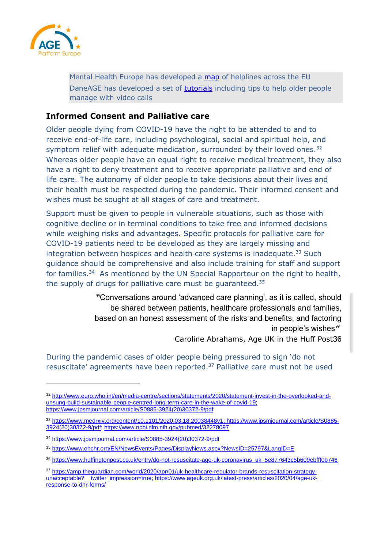

Mental Health Europe has developed a [map](https://www.mhe-sme.org/library/helplines/) of helplines across the EU DaneAGE has developed a set of [tutorials](https://www.aeldresagen.dk/viden-og-raadgivning/hverdagsliv/godt-i-gang-med-it/gode-raad/saadan-ser-du-den-du-taler-med) including tips to help older people manage with video calls

### <span id="page-11-0"></span>**Informed Consent and Palliative care**

Older people dying from COVID-19 have the right to be attended to and to receive end-of-life care, including psychological, social and spiritual help, and symptom relief with adequate medication, surrounded by their loved ones.<sup>32</sup> Whereas older people have an equal right to receive medical treatment, they also have a right to deny treatment and to receive appropriate palliative and end of life care. The autonomy of older people to take decisions about their lives and their health must be respected during the pandemic. Their informed consent and wishes must be sought at all stages of care and treatment.

Support must be given to people in vulnerable situations, such as those with cognitive decline or in terminal conditions to take free and informed decisions while weighing risks and advantages. Specific protocols for palliative care for COVID-19 patients need to be developed as they are largely missing and integration between hospices and health care systems is inadequate.<sup>33</sup> Such guidance should be comprehensive and also include training for staff and support for families.<sup>34</sup> As mentioned by the UN Special Rapporteur on the right to health, the supply of drugs for palliative care must be guaranteed.<sup>35</sup>

> *"*Conversations around 'advanced care planning', as it is called, should be shared between patients, healthcare professionals and families, based on an honest assessment of the risks and benefits, and factoring in people's wishes*"* Caroline Abrahams, Age UK in the Huff Post36

During the pandemic cases of older people being pressured to sign 'do not resuscitate' agreements have been reported.<sup>37</sup> Palliative care must not be used

<sup>32</sup> [http://www.euro.who.int/en/media-centre/sections/statements/2020/statement-invest-in-the-overlooked-and](http://www.euro.who.int/en/media-centre/sections/statements/2020/statement-invest-in-the-overlooked-and-unsung-build-sustainable-people-centred-long-term-care-in-the-wake-of-covid-19)[unsung-build-sustainable-people-centred-long-term-care-in-the-wake-of-covid-19;](http://www.euro.who.int/en/media-centre/sections/statements/2020/statement-invest-in-the-overlooked-and-unsung-build-sustainable-people-centred-long-term-care-in-the-wake-of-covid-19) [https://www.jpsmjournal.com/article/S0885-3924\(20\)30372-9/pdf](https://www.jpsmjournal.com/article/S0885-3924(20)30372-9/pdf)

<sup>33</sup> [https://www.medrxiv.org/content/10.1101/2020.03.18.20038448v1;](https://www.medrxiv.org/content/10.1101/2020.03.18.20038448v1) [https://www.jpsmjournal.com/article/S0885-](https://www.jpsmjournal.com/article/S0885-3924(20)30372-9/pdf) [3924\(20\)30372-9/pdf;](https://www.jpsmjournal.com/article/S0885-3924(20)30372-9/pdf)<https://www.ncbi.nlm.nih.gov/pubmed/32278097>

<sup>34</sup> [https://www.jpsmjournal.com/article/S0885-3924\(20\)30372-9/pdf](https://www.jpsmjournal.com/article/S0885-3924(20)30372-9/pdf)

<sup>35</sup> <https://www.ohchr.org/EN/NewsEvents/Pages/DisplayNews.aspx?NewsID=25797&LangID=E>

<sup>36</sup> [https://www.huffingtonpost.co.uk/entry/do-not-resuscitate-age-uk-coronavirus\\_uk\\_5e877643c5b609ebfff0b746](https://www.huffingtonpost.co.uk/entry/do-not-resuscitate-age-uk-coronavirus_uk_5e877643c5b609ebfff0b746)

<sup>37</sup> [https://amp.theguardian.com/world/2020/apr/01/uk-healthcare-regulator-brands-resuscitation-strategy](https://amp.theguardian.com/world/2020/apr/01/uk-healthcare-regulator-brands-resuscitation-strategy-unacceptable?__twitter_impression=true)[unacceptable?\\_\\_twitter\\_impression=true;](https://amp.theguardian.com/world/2020/apr/01/uk-healthcare-regulator-brands-resuscitation-strategy-unacceptable?__twitter_impression=true) [https://www.ageuk.org.uk/latest-press/articles/2020/04/age-uk](https://www.ageuk.org.uk/latest-press/articles/2020/04/age-uk-response-to-dnr-forms/)[response-to-dnr-forms/](https://www.ageuk.org.uk/latest-press/articles/2020/04/age-uk-response-to-dnr-forms/)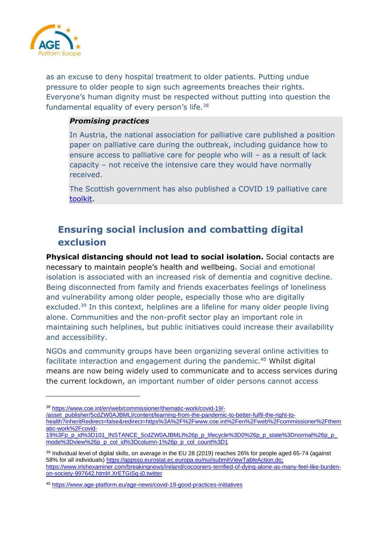

as an excuse to deny hospital treatment to older patients. Putting undue pressure to older people to sign such agreements breaches their rights. Everyone's human dignity must be respected without putting into question the fundamental equality of every person's life.<sup>38</sup>

### *Promising practices*

In [Austria,](https://ltccovid.org/wp-content/uploads/2020/04/The-COVID-19-Long-Term-Care-situation-in-Austria-28-April-2020-1.pdf) the national association for palliative care published a position paper on palliative care during the outbreak, including guidance how to ensure access to palliative care for people who will – as a result of lack capacity – not receive the intensive care they would have normally received.

The Scottish government has also published a COVID 19 palliative care [toolkit.](https://www.gov.scot/publications/coronavirus-covid-19-palliative-care-toolkit/)

# <span id="page-12-0"></span>**Ensuring social inclusion and combatting digital exclusion**

**Physical distancing should not lead to social isolation.** Social contacts are necessary to maintain people's health and wellbeing. Social and emotional isolation is associated with an increased risk of dementia and cognitive decline. Being disconnected from family and friends exacerbates feelings of loneliness and vulnerability among older people, especially those who are digitally excluded.<sup>39</sup> In this context, helplines are a lifeline for many older people living alone. Communities and the non-profit sector play an important role in maintaining such helplines, but public initiatives could increase their availability and accessibility.

NGOs and community groups have been organizing several online activities to facilitate interaction and engagement during the pandemic.<sup>40</sup> Whilst digital means are now being widely used to communicate and to access services during the current lockdown, an important number of older persons cannot access

[/asset\\_publisher/5cdZW0AJBMLl/content/learning-from-the-pandemic-to-better-fulfil-the-right-to-](https://www.coe.int/en/web/commissioner/thematic-work/covid-19/-/asset_publisher/5cdZW0AJBMLl/content/learning-from-the-pandemic-to-better-fulfil-the-right-to-health?inheritRedirect=false&redirect=https%3A%2F%2Fwww.coe.int%2Fen%2Fweb%2Fcommissioner%2Fthematic-work%2Fcovid-19%3Fp_p_id%3D101_INSTANCE_5cdZW0AJBMLl%26p_p_lifecycle%3D0%26p_p_state%3Dnormal%26p_p_mode%3Dview%26p_p_col_id%3Dcolumn-1%26p_p_col_count%3D1)

[health?inheritRedirect=false&redirect=https%3A%2F%2Fwww.coe.int%2Fen%2Fweb%2Fcommissioner%2Fthem](https://www.coe.int/en/web/commissioner/thematic-work/covid-19/-/asset_publisher/5cdZW0AJBMLl/content/learning-from-the-pandemic-to-better-fulfil-the-right-to-health?inheritRedirect=false&redirect=https%3A%2F%2Fwww.coe.int%2Fen%2Fweb%2Fcommissioner%2Fthematic-work%2Fcovid-19%3Fp_p_id%3D101_INSTANCE_5cdZW0AJBMLl%26p_p_lifecycle%3D0%26p_p_state%3Dnormal%26p_p_mode%3Dview%26p_p_col_id%3Dcolumn-1%26p_p_col_count%3D1) [atic-work%2Fcovid-](https://www.coe.int/en/web/commissioner/thematic-work/covid-19/-/asset_publisher/5cdZW0AJBMLl/content/learning-from-the-pandemic-to-better-fulfil-the-right-to-health?inheritRedirect=false&redirect=https%3A%2F%2Fwww.coe.int%2Fen%2Fweb%2Fcommissioner%2Fthematic-work%2Fcovid-19%3Fp_p_id%3D101_INSTANCE_5cdZW0AJBMLl%26p_p_lifecycle%3D0%26p_p_state%3Dnormal%26p_p_mode%3Dview%26p_p_col_id%3Dcolumn-1%26p_p_col_count%3D1)

<sup>38</sup> [https://www.coe.int/en/web/commissioner/thematic-work/covid-19/-](https://www.coe.int/en/web/commissioner/thematic-work/covid-19/-/asset_publisher/5cdZW0AJBMLl/content/learning-from-the-pandemic-to-better-fulfil-the-right-to-health?inheritRedirect=false&redirect=https%3A%2F%2Fwww.coe.int%2Fen%2Fweb%2Fcommissioner%2Fthematic-work%2Fcovid-19%3Fp_p_id%3D101_INSTANCE_5cdZW0AJBMLl%26p_p_lifecycle%3D0%26p_p_state%3Dnormal%26p_p_mode%3Dview%26p_p_col_id%3Dcolumn-1%26p_p_col_count%3D1)

[<sup>19%3</sup>Fp\\_p\\_id%3D101\\_INSTANCE\\_5cdZW0AJBMLl%26p\\_p\\_lifecycle%3D0%26p\\_p\\_state%3Dnormal%26p\\_p\\_](https://www.coe.int/en/web/commissioner/thematic-work/covid-19/-/asset_publisher/5cdZW0AJBMLl/content/learning-from-the-pandemic-to-better-fulfil-the-right-to-health?inheritRedirect=false&redirect=https%3A%2F%2Fwww.coe.int%2Fen%2Fweb%2Fcommissioner%2Fthematic-work%2Fcovid-19%3Fp_p_id%3D101_INSTANCE_5cdZW0AJBMLl%26p_p_lifecycle%3D0%26p_p_state%3Dnormal%26p_p_mode%3Dview%26p_p_col_id%3Dcolumn-1%26p_p_col_count%3D1) [mode%3Dview%26p\\_p\\_col\\_id%3Dcolumn-1%26p\\_p\\_col\\_count%3D1](https://www.coe.int/en/web/commissioner/thematic-work/covid-19/-/asset_publisher/5cdZW0AJBMLl/content/learning-from-the-pandemic-to-better-fulfil-the-right-to-health?inheritRedirect=false&redirect=https%3A%2F%2Fwww.coe.int%2Fen%2Fweb%2Fcommissioner%2Fthematic-work%2Fcovid-19%3Fp_p_id%3D101_INSTANCE_5cdZW0AJBMLl%26p_p_lifecycle%3D0%26p_p_state%3Dnormal%26p_p_mode%3Dview%26p_p_col_id%3Dcolumn-1%26p_p_col_count%3D1)

<sup>39</sup> Individual level of digital skills, on average in the EU 28 (2019) reaches 26% for people aged 65-74 (against 58% for all individuals) [https://appsso.eurostat.ec.europa.eu/nui/submitViewTableAction.do;](https://appsso.eurostat.ec.europa.eu/nui/submitViewTableAction.do) [https://www.irishexaminer.com/breakingnews/ireland/cocooners-terrified-of-dying-alone-as-many-feel-like-burden](https://www.irishexaminer.com/breakingnews/ireland/cocooners-terrified-of-dying-alone-as-many-feel-like-burden-on-society-997642.html#.XrETGiSq-j0.twitter)[on-society-997642.html#.XrETGiSq-j0.twitter](https://www.irishexaminer.com/breakingnews/ireland/cocooners-terrified-of-dying-alone-as-many-feel-like-burden-on-society-997642.html#.XrETGiSq-j0.twitter)

<sup>40</sup> <https://www.age-platform.eu/age-news/covid-19-good-practices-initiatives>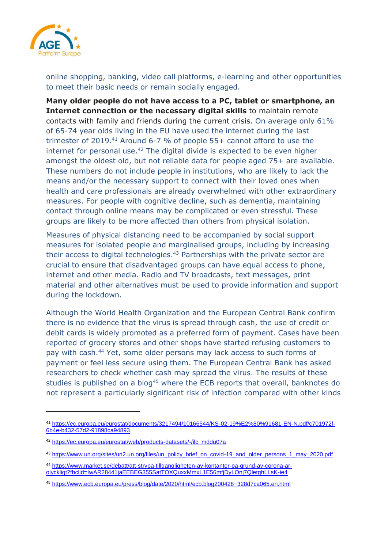

online shopping, banking, video call platforms, e-learning and other opportunities to meet their basic needs or remain socially engaged.

**Many older people do not have access to a PC, tablet or smartphone, an Internet connection or the necessary digital skills** to maintain remote contacts with family and friends during the current crisis. On average only 61% of 65-74 year olds living in the EU have used the internet during the last trimester of 2019.<sup>41</sup> Around 6-7 % of people 55+ cannot afford to use the internet for personal use. $42$  The digital divide is expected to be even higher amongst the oldest old, but not reliable data for people aged 75+ are available. These numbers do not include people in institutions, who are likely to lack the means and/or the necessary support to connect with their loved ones when health and care professionals are already overwhelmed with other extraordinary measures. For people with cognitive decline, such as dementia, maintaining contact through online means may be complicated or even stressful. These groups are likely to be more affected than others from physical isolation.

Measures of physical distancing need to be accompanied by social support measures for isolated people and marginalised groups, including by increasing their access to digital technologies.<sup>43</sup> Partnerships with the private sector are crucial to ensure that disadvantaged groups can have equal access to phone, internet and other media. Radio and TV broadcasts, text messages, print material and other alternatives must be used to provide information and support during the lockdown.

Although the World Health Organization and the European Central Bank confirm there is no evidence that the virus is spread through cash, the use of credit or debit cards is widely promoted as a preferred form of payment. Cases have been reported of grocery stores and other shops have started refusing customers to pay with cash. <sup>44</sup> Yet, some older persons may lack access to such forms of payment or feel less secure using them. The European Central Bank has asked researchers to check whether cash may spread the virus. The results of these studies is published on a blog<sup>45</sup> where the ECB reports that overall, banknotes do not represent a particularly significant risk of infection compared with other kinds

<sup>41</sup> [https://ec.europa.eu/eurostat/documents/3217494/10166544/KS-02-19%E2%80%91681-EN-N.pdf/c701972f-](https://ec.europa.eu/eurostat/documents/3217494/10166544/KS-02-19%E2%80%91681-EN-N.pdf/c701972f-6b4e-b432-57d2-91898ca94893)[6b4e-b432-57d2-91898ca94893](https://ec.europa.eu/eurostat/documents/3217494/10166544/KS-02-19%E2%80%91681-EN-N.pdf/c701972f-6b4e-b432-57d2-91898ca94893)

<sup>42</sup> [https://ec.europa.eu/eurostat/web/products-datasets/-/ilc\\_mddu07a](https://ec.europa.eu/eurostat/web/products-datasets/-/ilc_mddu07a)

<sup>43</sup> [https://www.un.org/sites/un2.un.org/files/un\\_policy\\_brief\\_on\\_covid-19\\_and\\_older\\_persons\\_1\\_may\\_2020.pdf](https://www.un.org/sites/un2.un.org/files/un_policy_brief_on_covid-19_and_older_persons_1_may_2020.pdf)

<sup>44</sup> [https://www.market.se/debatt/att-strypa-tillgangligheten-av-kontanter-pa-grund-av-corona-ar](https://www.market.se/debatt/att-strypa-tillgangligheten-av-kontanter-pa-grund-av-corona-ar-olyckligt?fbclid=IwAR28441jaEEBEG355SatTOXQuxxMmxL1E56mfjDyLOnj7QletghLLsK-ie4)[olyckligt?fbclid=IwAR28441jaEEBEG355SatTOXQuxxMmxL1E56mfjDyLOnj7QletghLLsK-ie4](https://www.market.se/debatt/att-strypa-tillgangligheten-av-kontanter-pa-grund-av-corona-ar-olyckligt?fbclid=IwAR28441jaEEBEG355SatTOXQuxxMmxL1E56mfjDyLOnj7QletghLLsK-ie4)

<sup>45</sup> <https://www.ecb.europa.eu/press/blog/date/2020/html/ecb.blog200428~328d7ca065.en.html>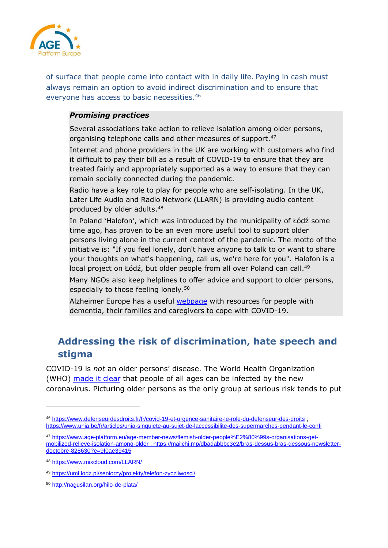

of surface that people come into contact with in daily life. Paying in cash must always remain an option to avoid indirect discrimination and to ensure that everyone has access to basic necessities.<sup>46</sup>

### *Promising practices*

Several associations take action to relieve isolation among older persons, organising telephone calls and other measures of support.<sup>47</sup>

Internet and phone providers in the UK are working with customers who find it difficult to pay their bill as a result of COVID-19 to ensure that they are treated fairly and appropriately supported as a way to ensure that they can remain socially connected during the pandemic.

Radio have a key role to play for people who are self-isolating. In the UK, Later Life Audio and Radio Network (LLARN) is providing audio content produced by older adults. 48

In Poland 'Halofon', which was introduced by the municipality of Łódź some time ago, has proven to be an even more useful tool to support older persons living alone in the current context of the pandemic. The motto of the initiative is: "If you feel lonely, don't have anyone to talk to or want to share your thoughts on what's happening, call us, we're here for you". Halofon is a local project on Łódź, but older people from all over Poland can call.<sup>49</sup>

Many NGOs also keep helplines to offer advice and support to older persons, especially to those feeling lonely.<sup>50</sup>

Alzheimer Europe has a useful **webpage** with resources for people with dementia, their families and caregivers to cope with COVID-19.

# <span id="page-14-0"></span>**Addressing the risk of discrimination, hate speech and stigma**

COVID-19 is *not* an older persons' disease. The World Health Organization (WHO) [made it clear](https://www.who.int/emergencies/diseases/novel-coronavirus-2019/advice-for-public/myth-busters) that people of all ages can be infected by the new coronavirus. Picturing older persons as the only group at serious risk tends to put

<sup>46</sup> <https://www.defenseurdesdroits.fr/fr/covid-19-et-urgence-sanitaire-le-role-du-defenseur-des-droits> ; <https://www.unia.be/fr/articles/unia-sinquiete-au-sujet-de-laccessibilite-des-supermarches-pendant-le-confi>

<sup>47</sup> [https://www.age-platform.eu/age-member-news/flemish-older-people%E2%80%99s-organisations-get](https://www.age-platform.eu/age-member-news/flemish-older-people%E2%80%99s-organisations-get-mobilized-relieve-isolation-among-older)[mobilized-relieve-isolation-among-older](https://www.age-platform.eu/age-member-news/flemish-older-people%E2%80%99s-organisations-get-mobilized-relieve-isolation-among-older) [; https://mailchi.mp/dbadabbbc3e2/bras-dessus-bras-dessous-newsletter](https://mailchi.mp/dbadabbbc3e2/bras-dessus-bras-dessous-newsletter-doctobre-828630?e=9f0ae39415)[doctobre-828630?e=9f0ae39415](https://mailchi.mp/dbadabbbc3e2/bras-dessus-bras-dessous-newsletter-doctobre-828630?e=9f0ae39415)

<sup>48</sup> <https://www.mixcloud.com/LLARN/>

<sup>49</sup> <https://uml.lodz.pl/seniorzy/projekty/telefon-zyczliwosci/>

<sup>50</sup> <http://nagusilan.org/hilo-de-plata/>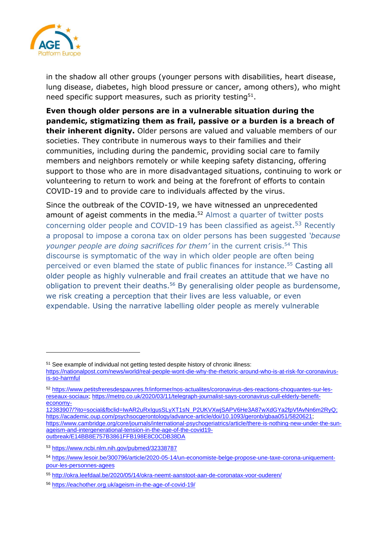

in the shadow all other groups (younger persons with disabilities, heart disease, lung disease, diabetes, high blood pressure or cancer, among others), who might need specific support measures, such as priority testing  $51$ .

**Even though older persons are in a vulnerable situation during the pandemic, stigmatizing them as frail, passive or a burden is a breach of their inherent dignity.** Older persons are valued and valuable members of our societies. They contribute in numerous ways to their families and their communities, including during the pandemic, providing social care to family members and neighbors remotely or while keeping safety distancing, offering support to those who are in more disadvantaged situations, continuing to work or volunteering to return to work and being at the forefront of efforts to contain COVID-19 and to provide care to individuals affected by the virus.

Since the outbreak of the COVID-19, we have witnessed an unprecedented amount of ageist comments in the media.<sup>52</sup> Almost a quarter of twitter posts concerning older people and COVID-19 has been classified as ageist.<sup>53</sup> Recently a proposal to impose a corona tax on older persons has been suggested *'because younger people are doing sacrifices for them'* in the current crisis.<sup>54</sup> This discourse is symptomatic of the way in which older people are often being perceived or even blamed the state of public finances for instance.<sup>55</sup> Casting all older people as highly vulnerable and frail creates an attitude that we have no obligation to prevent their deaths.<sup>56</sup> By generalising older people as burdensome, we risk creating a perception that their lives are less valuable, or even expendable. Using the narrative labelling older people as merely vulnerable

<sup>&</sup>lt;sup>51</sup> See example of individual not getting tested despite history of chronic illness:

[https://nationalpost.com/news/world/real-people-wont-die-why-the-rhetoric-around-who-is-at-risk-for-coronavirus](https://nationalpost.com/news/world/real-people-wont-die-why-the-rhetoric-around-who-is-at-risk-for-coronavirus-is-so-harmful)[is-so-harmful](https://nationalpost.com/news/world/real-people-wont-die-why-the-rhetoric-around-who-is-at-risk-for-coronavirus-is-so-harmful)

<sup>52</sup> [https://www.petitsfreresdespauvres.fr/informer/nos-actualites/coronavirus-des-reactions-choquantes-sur-les](https://www.petitsfreresdespauvres.fr/informer/nos-actualites/coronavirus-des-reactions-choquantes-sur-les-reseaux-sociaux)[reseaux-sociaux;](https://www.petitsfreresdespauvres.fr/informer/nos-actualites/coronavirus-des-reactions-choquantes-sur-les-reseaux-sociaux) [https://metro.co.uk/2020/03/11/telegraph-journalist-says-coronavirus-cull-elderly-benefit](https://metro.co.uk/2020/03/11/telegraph-journalist-says-coronavirus-cull-elderly-benefit-economy-12383907/?ito=social&fbclid=IwAR2uRxIgusSLyXT1sN_P2UKVXwjSAPV6He3A87wXdGYa2fpVfAvNn6m2RyQ)[economy-](https://metro.co.uk/2020/03/11/telegraph-journalist-says-coronavirus-cull-elderly-benefit-economy-12383907/?ito=social&fbclid=IwAR2uRxIgusSLyXT1sN_P2UKVXwjSAPV6He3A87wXdGYa2fpVfAvNn6m2RyQ)

[<sup>12383907/?</sup>ito=social&fbclid=IwAR2uRxIgusSLyXT1sN\\_P2UKVXwjSAPV6He3A87wXdGYa2fpVfAvNn6m2RyQ;](https://metro.co.uk/2020/03/11/telegraph-journalist-says-coronavirus-cull-elderly-benefit-economy-12383907/?ito=social&fbclid=IwAR2uRxIgusSLyXT1sN_P2UKVXwjSAPV6He3A87wXdGYa2fpVfAvNn6m2RyQ) [https://academic.oup.com/psychsocgerontology/advance-article/doi/10.1093/geronb/gbaa051/5820621;](https://academic.oup.com/psychsocgerontology/advance-article/doi/10.1093/geronb/gbaa051/5820621) [https://www.cambridge.org/core/journals/international-psychogeriatrics/article/there-is-nothing-new-under-the-sun](https://www.cambridge.org/core/journals/international-psychogeriatrics/article/there-is-nothing-new-under-the-sun-ageism-and-intergenerational-tension-in-the-age-of-the-covid19-outbreak/E14BB8E757B3861FFB198E8C0CDB38DA)[ageism-and-intergenerational-tension-in-the-age-of-the-covid19](https://www.cambridge.org/core/journals/international-psychogeriatrics/article/there-is-nothing-new-under-the-sun-ageism-and-intergenerational-tension-in-the-age-of-the-covid19-outbreak/E14BB8E757B3861FFB198E8C0CDB38DA) [outbreak/E14BB8E757B3861FFB198E8C0CDB38DA](https://www.cambridge.org/core/journals/international-psychogeriatrics/article/there-is-nothing-new-under-the-sun-ageism-and-intergenerational-tension-in-the-age-of-the-covid19-outbreak/E14BB8E757B3861FFB198E8C0CDB38DA)

<sup>53</sup> <https://www.ncbi.nlm.nih.gov/pubmed/32338787>

<sup>54</sup> [https://www.lesoir.be/300796/article/2020-05-14/un-economiste-belge-propose-une-taxe-corona-uniquement](https://www.lesoir.be/300796/article/2020-05-14/un-economiste-belge-propose-une-taxe-corona-uniquement-pour-les-personnes-agees)[pour-les-personnes-agees](https://www.lesoir.be/300796/article/2020-05-14/un-economiste-belge-propose-une-taxe-corona-uniquement-pour-les-personnes-agees)

<sup>55</sup> <http://okra.leefdaal.be/2020/05/14/okra-neemt-aanstoot-aan-de-coronatax-voor-ouderen/>

<sup>56</sup> <https://eachother.org.uk/ageism-in-the-age-of-covid-19/>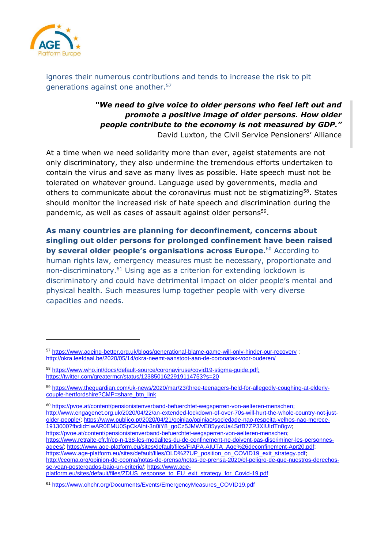

ignores their numerous contributions and tends to increase the risk to pit generations against one another.<sup>57</sup>

> *"We need to give voice to older persons who feel left out and promote a positive image of older persons. How older people contribute to the economy is not measured by GDP."* David Luxton, the Civil Service Pensioners' Alliance

At a time when we need solidarity more than ever, ageist statements are not only discriminatory, they also undermine the tremendous efforts undertaken to contain the virus and save as many lives as possible. Hate speech must not be tolerated on whatever ground. Language used by governments, media and others to communicate about the coronavirus must not be stigmatizing<sup>58</sup>. States should monitor the increased risk of hate speech and discrimination during the pandemic, as well as cases of assault against older persons<sup>59</sup>.

**As many countries are planning for deconfinement, concerns about singling out older persons for prolonged confinement have been raised by several older people's organisations across Europe.** <sup>60</sup> According to human rights law, emergency measures must be necessary, proportionate and non-discriminatory.<sup>61</sup> Using age as a criterion for extending lockdown is discriminatory and could have detrimental impact on older people's mental and physical health. Such measures lump together people with very diverse capacities and needs.

<sup>60</sup> [https://pvoe.at/content/pensionistenverband-befuerchtet-wegsperren-von-aelteren-menschen;](https://pvoe.at/content/pensionistenverband-befuerchtet-wegsperren-von-aelteren-menschen) [http://www.engagenet.org.uk/2020/04/22/an-extended-lockdown-of-over-70s-will-hurt-the-whole-country-not-just](http://www.engagenet.org.uk/2020/04/22/an-extended-lockdown-of-over-70s-will-hurt-the-whole-country-not-just-older-people/)[older-people/;](http://www.engagenet.org.uk/2020/04/22/an-extended-lockdown-of-over-70s-will-hurt-the-whole-country-not-just-older-people/) [https://www.publico.pt/2020/04/21/opiniao/opiniao/sociedade-nao-respeita-velhos-nao-merece-](https://www.publico.pt/2020/04/21/opiniao/opiniao/sociedade-nao-respeita-velhos-nao-merece-1913000?fbclid=IwAR0EMU0SpCkAlht-3n0iY8_goCz5JMWvE85yyxUa4SrfB7ZP3XIUIdTn8gw)[1913000?fbclid=IwAR0EMU0SpCkAlht-3n0iY8\\_goCz5JMWvE85yyxUa4SrfB7ZP3XIUIdTn8gw;](https://www.publico.pt/2020/04/21/opiniao/opiniao/sociedade-nao-respeita-velhos-nao-merece-1913000?fbclid=IwAR0EMU0SpCkAlht-3n0iY8_goCz5JMWvE85yyxUa4SrfB7ZP3XIUIdTn8gw) [https://pvoe.at/content/pensionistenverband-befuerchtet-wegsperren-von-aelteren-menschen;](https://pvoe.at/content/pensionistenverband-befuerchtet-wegsperren-von-aelteren-menschen) [https://www.retraite-cfr.fr/cp-n-138-les-modalites-du-de-confinement-ne-doivent-pas-discriminer-les-personnes](https://www.retraite-cfr.fr/cp-n-138-les-modalites-du-de-confinement-ne-doivent-pas-discriminer-les-personnes-agees/)[agees/;](https://www.retraite-cfr.fr/cp-n-138-les-modalites-du-de-confinement-ne-doivent-pas-discriminer-les-personnes-agees/) [https://www.age-platform.eu/sites/default/files/FIAPA-AIUTA\\_Age%26deconfinement-Apr20.pdf;](https://www.age-platform.eu/sites/default/files/FIAPA-AIUTA_Age%26deconfinement-Apr20.pdf) [https://www.age-platform.eu/sites/default/files/OLD%27UP\\_position\\_on\\_COVID19\\_exit\\_strategy.pdf;](https://www.age-platform.eu/sites/default/files/OLD%27UP_position_on_COVID19_exit_strategy.pdf) [http://ceoma.org/opinion-de-ceoma/notas-de-prensa/notas-de-prensa-2020/el-peligro-de-que-nuestros-derechos](http://ceoma.org/opinion-de-ceoma/notas-de-prensa/notas-de-prensa-2020/el-peligro-de-que-nuestros-derechos-se-vean-postergados-bajo-un-criterio/)[se-vean-postergados-bajo-un-criterio/;](http://ceoma.org/opinion-de-ceoma/notas-de-prensa/notas-de-prensa-2020/el-peligro-de-que-nuestros-derechos-se-vean-postergados-bajo-un-criterio/) [https://www.age](https://www.age-platform.eu/sites/default/files/ZDUS_response_to_EU_exit_strategy_for_Covid-19.pdf)[platform.eu/sites/default/files/ZDUS\\_response\\_to\\_EU\\_exit\\_strategy\\_for\\_Covid-19.pdf](https://www.age-platform.eu/sites/default/files/ZDUS_response_to_EU_exit_strategy_for_Covid-19.pdf)

<sup>57</sup> <https://www.ageing-better.org.uk/blogs/generational-blame-game-will-only-hinder-our-recovery> ; <http://okra.leefdaal.be/2020/05/14/okra-neemt-aanstoot-aan-de-coronatax-voor-ouderen/>

<sup>58</sup> [https://www.who.int/docs/default-source/coronaviruse/covid19-stigma-guide.pdf;](https://www.who.int/docs/default-source/coronaviruse/covid19-stigma-guide.pdf) <https://twitter.com/greatermcr/status/1238501622919114753?s=20>

<sup>59</sup> [https://www.theguardian.com/uk-news/2020/mar/23/three-teenagers-held-for-allegedly-coughing-at-elderly](https://www.theguardian.com/uk-news/2020/mar/23/three-teenagers-held-for-allegedly-coughing-at-elderly-couple-hertfordshire?CMP=share_btn_link)[couple-hertfordshire?CMP=share\\_btn\\_link](https://www.theguardian.com/uk-news/2020/mar/23/three-teenagers-held-for-allegedly-coughing-at-elderly-couple-hertfordshire?CMP=share_btn_link)

<sup>61</sup> [https://www.ohchr.org/Documents/Events/EmergencyMeasures\\_COVID19.pdf](https://www.ohchr.org/Documents/Events/EmergencyMeasures_COVID19.pdf)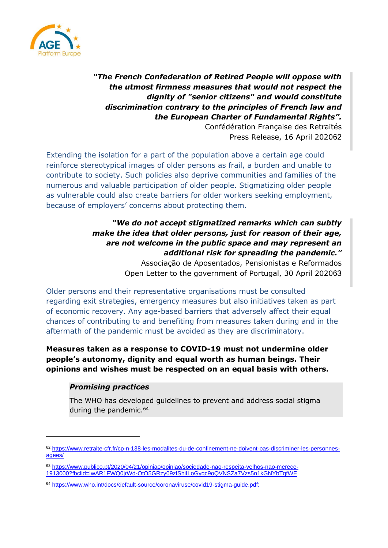

*"The French Confederation of Retired People will oppose with the utmost firmness measures that would not respect the dignity of "senior citizens" and would constitute discrimination contrary to the principles of French law and the European Charter of Fundamental Rights".*

Confédération Française des Retraités Press Release, 16 April 202062

Extending the isolation for a part of the population above a certain age could reinforce stereotypical images of older persons as frail, a burden and unable to contribute to society. Such policies also deprive communities and families of the numerous and valuable participation of older people. Stigmatizing older people as vulnerable could also create barriers for older workers seeking employment, because of employers' concerns about protecting them.

### *"We do not accept stigmatized remarks which can subtly make the idea that older persons, just for reason of their age, are not welcome in the public space and may represent an additional risk for spreading the pandemic."* Associação de Aposentados, Pensionistas e Reformados

Open Letter to the government of Portugal, 30 April 202063

Older persons and their representative organisations must be consulted regarding exit strategies, emergency measures but also initiatives taken as part of economic recovery. Any age-based barriers that adversely affect their equal chances of contributing to and benefiting from measures taken during and in the aftermath of the pandemic must be avoided as they are discriminatory.

**Measures taken as a response to COVID-19 must not undermine older people's autonomy, dignity and equal worth as human beings. Their opinions and wishes must be respected on an equal basis with others.**

### *Promising practices*

The WHO has developed guidelines to prevent and address social stigma during the pandemic.<sup>64</sup>

<sup>62</sup> [https://www.retraite-cfr.fr/cp-n-138-les-modalites-du-de-confinement-ne-doivent-pas-discriminer-les-personnes](https://www.retraite-cfr.fr/cp-n-138-les-modalites-du-de-confinement-ne-doivent-pas-discriminer-les-personnes-agees/)[agees/](https://www.retraite-cfr.fr/cp-n-138-les-modalites-du-de-confinement-ne-doivent-pas-discriminer-les-personnes-agees/)

<sup>63</sup> [https://www.publico.pt/2020/04/21/opiniao/opiniao/sociedade-nao-respeita-velhos-nao-merece-](https://www.publico.pt/2020/04/21/opiniao/opiniao/sociedade-nao-respeita-velhos-nao-merece-1913000?fbclid=IwAR1FWQ0jrWd-OtO5GRzy09zfShiILoGygc9oQVNSZa7Vzs5n1kGNYbTqfWE)[1913000?fbclid=IwAR1FWQ0jrWd-OtO5GRzy09zfShiILoGygc9oQVNSZa7Vzs5n1kGNYbTqfWE](https://www.publico.pt/2020/04/21/opiniao/opiniao/sociedade-nao-respeita-velhos-nao-merece-1913000?fbclid=IwAR1FWQ0jrWd-OtO5GRzy09zfShiILoGygc9oQVNSZa7Vzs5n1kGNYbTqfWE)

<sup>64</sup> [https://www.who.int/docs/default-source/coronaviruse/covid19-stigma-guide.pdf;](https://www.who.int/docs/default-source/coronaviruse/covid19-stigma-guide.pdf)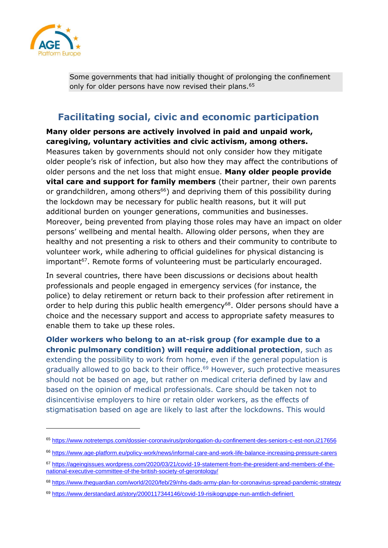

Some governments that had initially thought of prolonging the confinement only for older persons have now revised their plans.<sup>65</sup>

# <span id="page-18-0"></span>**Facilitating social, civic and economic participation**

**Many older persons are actively involved in paid and unpaid work, caregiving, voluntary activities and civic activism, among others.**

Measures taken by governments should not only consider how they mitigate older people's risk of infection, but also how they may affect the contributions of older persons and the net loss that might ensue. **Many older people provide vital care and support for family members** (their partner, their own parents or grandchildren, among others<sup>66</sup>) and depriving them of this possibility during the lockdown may be necessary for public health reasons, but it will put additional burden on younger generations, communities and businesses. Moreover, being prevented from playing those roles may have an impact on older persons' wellbeing and mental health. Allowing older persons, when they are healthy and not presenting a risk to others and their community to contribute to volunteer work, while adhering to official guidelines for physical distancing is important<sup>67</sup>. Remote forms of volunteering must be particularly encouraged.

In several countries, there have been discussions or decisions about health professionals and people engaged in emergency services (for instance, the police) to delay retirement or return back to their profession after retirement in order to help during this public health emergency<sup>68</sup>. Older persons should have a choice and the necessary support and access to appropriate safety measures to enable them to take up these roles.

**Older workers who belong to an at-risk group (for example due to a chronic pulmonary condition) will require additional protection**, such as extending the possibility to work from home, even if the general population is gradually allowed to go back to their office.<sup>69</sup> However, such protective measures should not be based on age, but rather on medical criteria defined by law and based on the opinion of medical professionals. Care should be taken not to disincentivise employers to hire or retain older workers, as the effects of stigmatisation based on age are likely to last after the lockdowns. This would

<sup>65</sup> <https://www.notretemps.com/dossier-coronavirus/prolongation-du-confinement-des-seniors-c-est-non,i217656>

<sup>66</sup> <https://www.age-platform.eu/policy-work/news/informal-care-and-work-life-balance-increasing-pressure-carers>

<sup>67</sup> [https://ageingissues.wordpress.com/2020/03/21/covid-19-statement-from-the-president-and-members-of-the](https://ageingissues.wordpress.com/2020/03/21/covid-19-statement-from-the-president-and-members-of-the-national-executive-committee-of-the-british-society-of-gerontology/)[national-executive-committee-of-the-british-society-of-gerontology/](https://ageingissues.wordpress.com/2020/03/21/covid-19-statement-from-the-president-and-members-of-the-national-executive-committee-of-the-british-society-of-gerontology/)

<sup>68</sup> <https://www.theguardian.com/world/2020/feb/29/nhs-dads-army-plan-for-coronavirus-spread-pandemic-strategy>

<sup>69</sup> <https://www.derstandard.at/story/2000117344146/covid-19-risikogruppe-nun-amtlich-definiert>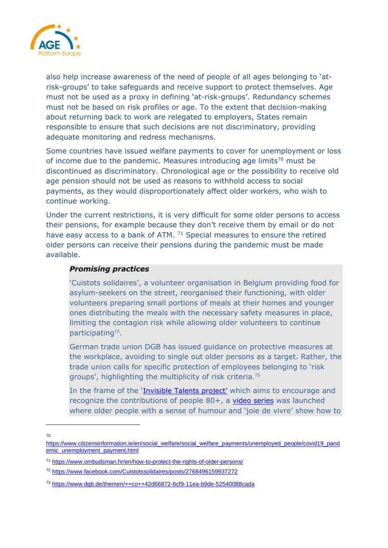

also help increase awareness of the need of people of all ages belonging to 'atrisk-groups' to take safeguards and receive support to protect themselves. Age must not be used as a proxy in defining 'at-risk-groups'. Redundancy schemes must not be based on risk profiles or age. To the extent that decision-making about returning back to work are relegated to employers, States remain responsible to ensure that such decisions are not discriminatory, providing adequate monitoring and redress mechanisms.

Some countries have issued welfare payments to cover for unemployment or loss of income due to the pandemic. Measures introducing age limits<sup>70</sup> must be discontinued as discriminatory. Chronological age or the possibility to receive old age pension should not be used as reasons to withhold access to social payments, as they would disproportionately affect older workers, who wish to continue working.

Under the current restrictions, it is very difficult for some older persons to access their pensions, for example because they don't receive them by email or do not have easy access to a bank of ATM.  $71$  Special measures to ensure the retired older persons can receive their pensions during the pandemic must be made available.

### *Promising practices*

'Cuistots solidaires', a volunteer organisation in Belgium providing food for asylum-seekers on the street, reorganised their functioning, with older volunteers preparing small portions of meals at their homes and younger ones distributing the meals with the necessary safety measures in place, limiting the contagion risk while allowing older volunteers to continue participating<sup>72</sup>.

German trade union DGB has issued guidance on protective measures at the workplace, avoiding to single out older persons as a target. Rather, the trade union calls for specific protection of employees belonging to 'risk groups', highlighting the multiplicity of risk criteria.<sup>73</sup>

In the frame of the '[Invisible Talents](https://www.invisible-talents.eu/) project' which aims to encourage and recognize the contributions of people 80+, a [video series](https://www.youtube.com/channel/UCkeL8TO3faiyhP0yJE5YTHQ/featured) was launched where older people with a sense of humour and 'joie de vivre' show how to

70

[https://www.citizensinformation.ie/en/social\\_welfare/social\\_welfare\\_payments/unemployed\\_people/covid19\\_pand](https://www.citizensinformation.ie/en/social_welfare/social_welfare_payments/unemployed_people/covid19_pandemic_unemployment_payment.html) [emic\\_unemployment\\_payment.html](https://www.citizensinformation.ie/en/social_welfare/social_welfare_payments/unemployed_people/covid19_pandemic_unemployment_payment.html)

<sup>71</sup> <https://www.ombudsman.hr/en/how-to-protect-the-rights-of-older-persons/>

<sup>72</sup> <https://www.facebook.com/Cuistotssolidaires/posts/2768496159937272>

<sup>73</sup> <https://www.dgb.de/themen/++co++42d66872-6cf9-11ea-b9de-52540088cada>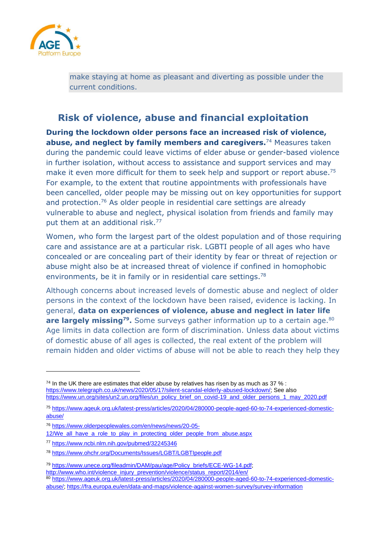

make staying at home as pleasant and diverting as possible under the current conditions.

# <span id="page-20-0"></span>**Risk of violence, abuse and financial exploitation**

**During the lockdown older persons face an increased risk of violence, abuse, and neglect by family members and caregivers.**<sup>74</sup> Measures taken during the pandemic could leave victims of elder abuse or gender-based violence in further isolation, without access to assistance and support services and may make it even more difficult for them to seek help and support or report abuse.<sup>75</sup> For example, to the extent that routine appointments with professionals have been cancelled, older people may be missing out on key opportunities for support and protection.<sup>76</sup> As older people in residential care settings are already vulnerable to abuse and neglect, physical isolation from friends and family may put them at an additional risk.<sup>77</sup>

Women, who form the largest part of the oldest population and of those requiring care and assistance are at a particular risk. LGBTI people of all ages who have concealed or are concealing part of their identity by fear or threat of rejection or abuse might also be at increased threat of violence if confined in homophobic environments, be it in family or in residential care settings.<sup>78</sup>

Although concerns about increased levels of domestic abuse and neglect of older persons in the context of the lockdown have been raised, evidence is lacking. In general, **data on experiences of violence, abuse and neglect in later life are largely missing<sup>79</sup>.** Some surveys gather information up to a certain age.<sup>80</sup> Age limits in data collection are form of discrimination. Unless data about victims of domestic abuse of all ages is collected, the real extent of the problem will remain hidden and older victims of abuse will not be able to reach they help they

 $74$  In the UK there are estimates that elder abuse by relatives has risen by as much as 37 % : [https://www.telegraph.co.uk/news/2020/05/17/silent-scandal-elderly-abused-lockdown/;](https://www.telegraph.co.uk/news/2020/05/17/silent-scandal-elderly-abused-lockdown/) See also [https://www.un.org/sites/un2.un.org/files/un\\_policy\\_brief\\_on\\_covid-19\\_and\\_older\\_persons\\_1\\_may\\_2020.pdf](https://www.un.org/sites/un2.un.org/files/un_policy_brief_on_covid-19_and_older_persons_1_may_2020.pdf)

<sup>75</sup> [https://www.ageuk.org.uk/latest-press/articles/2020/04/280000-people-aged-60-to-74-experienced-domestic](https://www.ageuk.org.uk/latest-press/articles/2020/04/280000-people-aged-60-to-74-experienced-domestic-abuse/)[abuse/](https://www.ageuk.org.uk/latest-press/articles/2020/04/280000-people-aged-60-to-74-experienced-domestic-abuse/)

<sup>76</sup> [https://www.olderpeoplewales.com/en/news/news/20-05-](https://www.olderpeoplewales.com/en/news/news/20-05-12/We_all_have_a_role_to_play_in_protecting_older_people_from_abuse.aspx)

<sup>12/</sup>We all have a role to play in protecting older people from abuse.aspx

<sup>77</sup> <https://www.ncbi.nlm.nih.gov/pubmed/32245346>

<sup>78</sup> <https://www.ohchr.org/Documents/Issues/LGBT/LGBTIpeople.pdf>

<sup>79</sup> [https://www.unece.org/fileadmin/DAM/pau/age/Policy\\_briefs/ECE-WG-14.pdf;](https://www.unece.org/fileadmin/DAM/pau/age/Policy_briefs/ECE-WG-14.pdf)

[http://www.who.int/violence\\_injury\\_prevention/violence/status\\_report/2014/en/](http://www.who.int/violence_injury_prevention/violence/status_report/2014/en/)

<sup>80</sup> [https://www.ageuk.org.uk/latest-press/articles/2020/04/280000-people-aged-60-to-74-experienced-domestic](https://www.ageuk.org.uk/latest-press/articles/2020/04/280000-people-aged-60-to-74-experienced-domestic-abuse/)[abuse/;](https://www.ageuk.org.uk/latest-press/articles/2020/04/280000-people-aged-60-to-74-experienced-domestic-abuse/)<https://fra.europa.eu/en/data-and-maps/violence-against-women-survey/survey-information>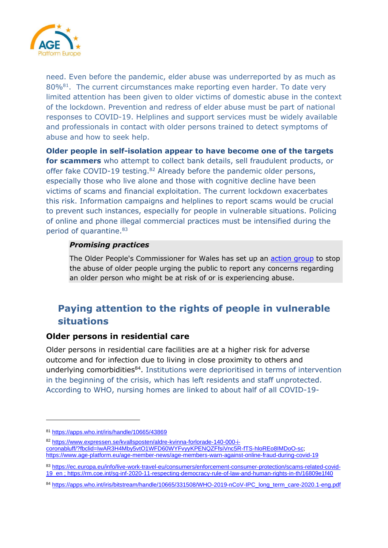

need. Even before the pandemic, elder abuse was underreported by as much as 80%<sup>81</sup>. The current circumstances make reporting even harder. To date very limited attention has been given to older victims of domestic abuse in the context of the lockdown. Prevention and redress of elder abuse must be part of national responses to COVID-19. Helplines and support services must be widely available and professionals in contact with older persons trained to detect symptoms of abuse and how to seek help.

**Older people in self-isolation appear to have become one of the targets for scammers** who attempt to collect bank details, sell fraudulent products, or offer fake COVID-19 testing.<sup>82</sup> Already before the pandemic older persons, especially those who live alone and those with cognitive decline have been victims of scams and financial exploitation. The current lockdown exacerbates this risk. Information campaigns and helplines to report scams would be crucial to prevent such instances, especially for people in vulnerable situations. Policing of online and phone illegal commercial practices must be intensified during the period of quarantine. 83

### *Promising practices*

The Older People's Commissioner for Wales has set up [an action group](https://www.olderpeoplewales.com/en/news/news/20-05-12/We_all_have_a_role_to_play_in_protecting_older_people_from_abuse.aspx) to stop the abuse of older people urging the public to report any concerns regarding an older person who might be at risk of or is experiencing abuse.

# <span id="page-21-0"></span>**Paying attention to the rights of people in vulnerable situations**

### <span id="page-21-1"></span>**Older persons in residential care**

Older persons in residential care facilities are at a higher risk for adverse outcome and for infection due to living in close proximity to others and underlying comorbidities<sup>84</sup>. Institutions were deprioritised in terms of intervention in the beginning of the crisis, which has left residents and staff unprotected. According to WHO, nursing homes are linked to about half of all COVID-19-

<sup>81</sup> <https://apps.who.int/iris/handle/10665/43869>

<sup>82</sup> [https://www.expressen.se/kvallsposten/aldre-kvinna-forlorade-140-000-i](https://www.expressen.se/kvallsposten/aldre-kvinna-forlorade-140-000-i-coronabluff/?fbclid=IwAR3H4Mby5vtO1WFD60WYFvyyKPENQZFfsiVnc5R-fTS-hloREo8IMDoO-sc)[coronabluff/?fbclid=IwAR3H4Mby5vtO1WFD60WYFvyyKPENQZFfsiVnc5R-fTS-hloREo8IMDoO-sc;](https://www.expressen.se/kvallsposten/aldre-kvinna-forlorade-140-000-i-coronabluff/?fbclid=IwAR3H4Mby5vtO1WFD60WYFvyyKPENQZFfsiVnc5R-fTS-hloREo8IMDoO-sc) <https://www.age-platform.eu/age-member-news/age-members-warn-against-online-fraud-during-covid-19>

<sup>83</sup> [https://ec.europa.eu/info/live-work-travel-eu/consumers/enforcement-consumer-protection/scams-related-covid-](https://ec.europa.eu/info/live-work-travel-eu/consumers/enforcement-consumer-protection/scams-related-covid-19_en)[19\\_en](https://ec.europa.eu/info/live-work-travel-eu/consumers/enforcement-consumer-protection/scams-related-covid-19_en) ;<https://rm.coe.int/sg-inf-2020-11-respecting-democracy-rule-of-law-and-human-rights-in-th/16809e1f40>

<sup>84</sup> [https://apps.who.int/iris/bitstream/handle/10665/331508/WHO-2019-nCoV-IPC\\_long\\_term\\_care-2020.1-eng.pdf](https://apps.who.int/iris/bitstream/handle/10665/331508/WHO-2019-nCoV-IPC_long_term_care-2020.1-eng.pdf)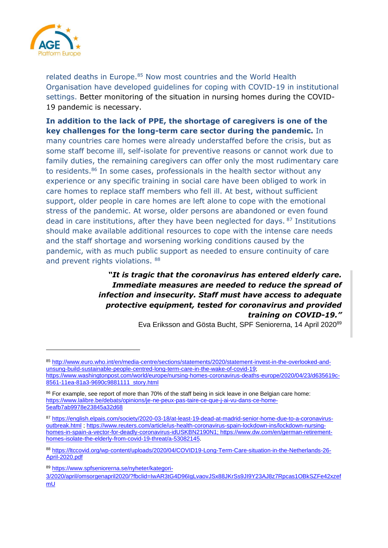

related deaths in Europe.<sup>85</sup> Now most countries and the World Health Organisation have developed guidelines for coping with COVID-19 in institutional settings. Better monitoring of the situation in nursing homes during the COVID-19 pandemic is necessary.

**In addition to the lack of PPE, the shortage of caregivers is one of the key challenges for the long-term care sector during the pandemic.** In many countries care homes were already understaffed before the crisis, but as some staff become ill, self-isolate for preventive reasons or cannot work due to family duties, the remaining caregivers can offer only the most rudimentary care to residents. <sup>86</sup> In some cases, professionals in the health sector without any experience or any specific training in social care have been obliged to work in care homes to replace staff members who fell ill. At best, without sufficient support, older people in care homes are left alone to cope with the emotional stress of the pandemic. At worse, older persons are abandoned or even found dead in care institutions, after they have been neglected for days. <sup>87</sup> Institutions should make available additional resources to cope with the intense care needs and the staff shortage and worsening working conditions caused by the pandemic, with as much public support as needed to ensure continuity of care and prevent rights violations. 88

### *"It is tragic that the coronavirus has entered elderly care. Immediate measures are needed to reduce the spread of infection and insecurity. Staff must have access to adequate protective equipment, tested for coronavirus and provided training on COVID-19."*

Eva Eriksson and Gösta Bucht, SPF Seniorerna, 14 April 2020<sup>89</sup>

<sup>85</sup> [http://www.euro.who.int/en/media-centre/sections/statements/2020/statement-invest-in-the-overlooked-and](http://www.euro.who.int/en/media-centre/sections/statements/2020/statement-invest-in-the-overlooked-and-unsung-build-sustainable-people-centred-long-term-care-in-the-wake-of-covid-19)[unsung-build-sustainable-people-centred-long-term-care-in-the-wake-of-covid-19;](http://www.euro.who.int/en/media-centre/sections/statements/2020/statement-invest-in-the-overlooked-and-unsung-build-sustainable-people-centred-long-term-care-in-the-wake-of-covid-19) [https://www.washingtonpost.com/world/europe/nursing-homes-coronavirus-deaths-europe/2020/04/23/d635619c-](https://www.washingtonpost.com/world/europe/nursing-homes-coronavirus-deaths-europe/2020/04/23/d635619c-8561-11ea-81a3-9690c9881111_story.html)[8561-11ea-81a3-9690c9881111\\_story.html](https://www.washingtonpost.com/world/europe/nursing-homes-coronavirus-deaths-europe/2020/04/23/d635619c-8561-11ea-81a3-9690c9881111_story.html)

<sup>86</sup> For example, see report of more than 70% of the staff being in sick leave in one Belgian care home: [https://www.lalibre.be/debats/opinions/je-ne-peux-pas-taire-ce-que-j-ai-vu-dans-ce-home-](https://www.lalibre.be/debats/opinions/je-ne-peux-pas-taire-ce-que-j-ai-vu-dans-ce-home-5eafb7ab9978e23845a32d68)[5eafb7ab9978e23845a32d68](https://www.lalibre.be/debats/opinions/je-ne-peux-pas-taire-ce-que-j-ai-vu-dans-ce-home-5eafb7ab9978e23845a32d68)

<sup>87</sup> [https://english.elpais.com/society/2020-03-18/at-least-19-dead-at-madrid-senior-home-due-to-a-coronavirus](https://english.elpais.com/society/2020-03-18/at-least-19-dead-at-madrid-senior-home-due-to-a-coronavirus-outbreak.html)[outbreak.html](https://english.elpais.com/society/2020-03-18/at-least-19-dead-at-madrid-senior-home-due-to-a-coronavirus-outbreak.html) ; [https://www.reuters.com/article/us-health-coronavirus-spain-lockdown-ins/lockdown-nursing](https://www.reuters.com/article/us-health-coronavirus-spain-lockdown-ins/lockdown-nursing-homes-in-spain-a-vector-for-deadly-coronavirus-idUSKBN2190N1)[homes-in-spain-a-vector-for-deadly-coronavirus-idUSKBN2190N1;](https://www.reuters.com/article/us-health-coronavirus-spain-lockdown-ins/lockdown-nursing-homes-in-spain-a-vector-for-deadly-coronavirus-idUSKBN2190N1) [https://www.dw.com/en/german-retirement](https://www.dw.com/en/german-retirement-homes-isolate-the-elderly-from-covid-19-threat/a-53082145)[homes-isolate-the-elderly-from-covid-19-threat/a-53082145.](https://www.dw.com/en/german-retirement-homes-isolate-the-elderly-from-covid-19-threat/a-53082145)

<sup>88</sup> [https://ltccovid.org/wp-content/uploads/2020/04/COVID19-Long-Term-Care-situation-in-the-Netherlands-26-](https://ltccovid.org/wp-content/uploads/2020/04/COVID19-Long-Term-Care-situation-in-the-Netherlands-26-April-2020.pdf) [April-2020.pdf](https://ltccovid.org/wp-content/uploads/2020/04/COVID19-Long-Term-Care-situation-in-the-Netherlands-26-April-2020.pdf)

<sup>89</sup> [https://www.spfseniorerna.se/nyheter/kategori-](https://www.spfseniorerna.se/nyheter/kategori-3/2020/april/omsorgenapril2020/?fbclid=IwAR3tG4D96IgLvaovJSx88JKrSs9JI9Y23AJ8z7Rpcas1OBkSZFe42xzefmU)

[<sup>3/2020/</sup>april/omsorgenapril2020/?fbclid=IwAR3tG4D96IgLvaovJSx88JKrSs9JI9Y23AJ8z7Rpcas1OBkSZFe42xzef](https://www.spfseniorerna.se/nyheter/kategori-3/2020/april/omsorgenapril2020/?fbclid=IwAR3tG4D96IgLvaovJSx88JKrSs9JI9Y23AJ8z7Rpcas1OBkSZFe42xzefmU) [mU](https://www.spfseniorerna.se/nyheter/kategori-3/2020/april/omsorgenapril2020/?fbclid=IwAR3tG4D96IgLvaovJSx88JKrSs9JI9Y23AJ8z7Rpcas1OBkSZFe42xzefmU)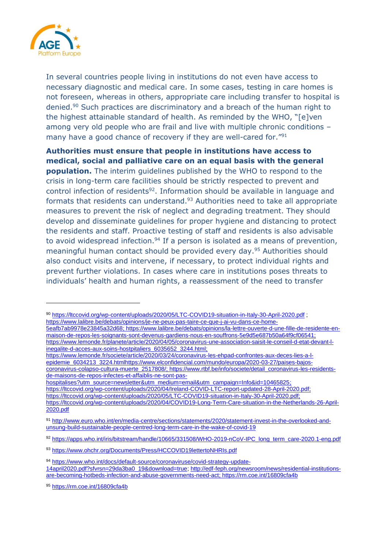

In several countries people living in institutions do not even have access to necessary diagnostic and medical care. In some cases, testing in care homes is not foreseen, whereas in others, appropriate care including transfer to hospital is denied.<sup>90</sup> Such practices are discriminatory and a breach of the human right to the highest attainable standard of health. As reminded by the WHO, "[e]ven among very old people who are frail and live with multiple chronic conditions – many have a good chance of recovery if they are well-cared for."<sup>91</sup>

**Authorities must ensure that people in institutions have access to medical, social and palliative care on an equal basis with the general population.** The interim guidelines published by the WHO to respond to the crisis in long-term care facilities should be strictly respected to prevent and control infection of residents<sup>92</sup>. Information should be available in language and formats that residents can understand.<sup>93</sup> Authorities need to take all appropriate measures to prevent the risk of neglect and degrading treatment. They should develop and disseminate guidelines for proper hygiene and distancing to protect the residents and staff. Proactive testing of staff and residents is also advisable to avoid widespread infection.<sup>94</sup> If a person is isolated as a means of prevention, meaningful human contact should be provided every day.<sup>95</sup> Authorities should also conduct visits and intervene, if necessary, to protect individual rights and prevent further violations. In cases where care in institutions poses threats to individuals' health and human rights, a reassessment of the need to transfer

90 <https://ltccovid.org/wp-content/uploads/2020/05/LTC-COVID19-situation-in-Italy-30-April-2020.pdf> ; [https://www.lalibre.be/debats/opinions/je-ne-peux-pas-taire-ce-que-j-ai-vu-dans-ce-home-](https://www.lalibre.be/debats/opinions/je-ne-peux-pas-taire-ce-que-j-ai-vu-dans-ce-home-5eafb7ab9978e23845a32d68)[5eafb7ab9978e23845a32d68;](https://www.lalibre.be/debats/opinions/je-ne-peux-pas-taire-ce-que-j-ai-vu-dans-ce-home-5eafb7ab9978e23845a32d68) [https://www.lalibre.be/debats/opinions/la-lettre-ouverte-d-une-fille-de-residente-en-](https://www.lalibre.be/debats/opinions/la-lettre-ouverte-d-une-fille-de-residente-en-maison-de-repos-les-soignants-sont-devenus-gardiens-nous-en-souffrons-5e9d5e687b50a64f9cf06541)

[maison-de-repos-les-soignants-sont-devenus-gardiens-nous-en-souffrons-5e9d5e687b50a64f9cf06541;](https://www.lalibre.be/debats/opinions/la-lettre-ouverte-d-une-fille-de-residente-en-maison-de-repos-les-soignants-sont-devenus-gardiens-nous-en-souffrons-5e9d5e687b50a64f9cf06541) [https://www.lemonde.fr/planete/article/2020/04/05/coronavirus-une-association-saisit-le-conseil-d-etat-devant-l](https://www.lemonde.fr/planete/article/2020/04/05/coronavirus-une-association-saisit-le-conseil-d-etat-devant-l-inegalite-d-acces-aux-soins-hostpitaliers_6035652_3244.html)[inegalite-d-acces-aux-soins-hostpitaliers\\_6035652\\_3244.html;](https://www.lemonde.fr/planete/article/2020/04/05/coronavirus-une-association-saisit-le-conseil-d-etat-devant-l-inegalite-d-acces-aux-soins-hostpitaliers_6035652_3244.html)

[https://www.lemonde.fr/societe/article/2020/03/24/coronavirus-les-ehpad-confrontes-aux-deces-lies-a-l](https://www.lemonde.fr/societe/article/2020/03/24/coronavirus-les-ehpad-confrontes-aux-deces-lies-a-l-epidemie_6034213_3224.html)[epidemie\\_6034213\\_3224.html](https://www.lemonde.fr/societe/article/2020/03/24/coronavirus-les-ehpad-confrontes-aux-deces-lies-a-l-epidemie_6034213_3224.html)[https://www.elconfidencial.com/mundo/europa/2020-03-27/paises-bajos](https://www.elconfidencial.com/mundo/europa/2020-03-27/paises-bajos-coronavirus-colapso-cultura-muerte_2517808/)[coronavirus-colapso-cultura-muerte\\_2517808/;](https://www.elconfidencial.com/mundo/europa/2020-03-27/paises-bajos-coronavirus-colapso-cultura-muerte_2517808/) [https://www.rtbf.be/info/societe/detail\\_coronavirus-les-residents](https://www.google.com/url?q=https://www.rtbf.be/info/societe/detail_coronavirus-les-residents-de-maisons-de-repos-infectes-et-affaiblis-ne-sont-pas-hospitalises?utm_source%3Dnewsletter%26utm_medium%3Demail%26utm_campaign%3DInfo%26id%3D10465825&sa=D&ust=1588953441167000&usg=AFQjCNEaay22MsYwnhpCKkZZ56l7CfEJVQ)[de-maisons-de-repos-infectes-et-affaiblis-ne-sont-pas-](https://www.google.com/url?q=https://www.rtbf.be/info/societe/detail_coronavirus-les-residents-de-maisons-de-repos-infectes-et-affaiblis-ne-sont-pas-hospitalises?utm_source%3Dnewsletter%26utm_medium%3Demail%26utm_campaign%3DInfo%26id%3D10465825&sa=D&ust=1588953441167000&usg=AFQjCNEaay22MsYwnhpCKkZZ56l7CfEJVQ)

[hospitalises?utm\\_source=newsletter&utm\\_medium=email&utm\\_campaign=Info&id=10465825;](https://www.google.com/url?q=https://www.rtbf.be/info/societe/detail_coronavirus-les-residents-de-maisons-de-repos-infectes-et-affaiblis-ne-sont-pas-hospitalises?utm_source%3Dnewsletter%26utm_medium%3Demail%26utm_campaign%3DInfo%26id%3D10465825&sa=D&ust=1588953441167000&usg=AFQjCNEaay22MsYwnhpCKkZZ56l7CfEJVQ) [https://ltccovid.org/wp-content/uploads/2020/04/Ireland-COVID-LTC-report-updated-28-April-2020.pdf;](https://ltccovid.org/wp-content/uploads/2020/04/Ireland-COVID-LTC-report-updated-28-April-2020.pdf) [https://ltccovid.org/wp-content/uploads/2020/05/LTC-COVID19-situation-in-Italy-30-April-2020.pdf;](https://ltccovid.org/wp-content/uploads/2020/05/LTC-COVID19-situation-in-Italy-30-April-2020.pdf) [https://ltccovid.org/wp-content/uploads/2020/04/COVID19-Long-Term-Care-situation-in-the-Netherlands-26-April-](https://ltccovid.org/wp-content/uploads/2020/04/COVID19-Long-Term-Care-situation-in-the-Netherlands-26-April-2020.pdf)[2020.pdf](https://ltccovid.org/wp-content/uploads/2020/04/COVID19-Long-Term-Care-situation-in-the-Netherlands-26-April-2020.pdf)

<sup>91</sup> [http://www.euro.who.int/en/media-centre/sections/statements/2020/statement-invest-in-the-overlooked-and](http://www.euro.who.int/en/media-centre/sections/statements/2020/statement-invest-in-the-overlooked-and-unsung-build-sustainable-people-centred-long-term-care-in-the-wake-of-covid-19)[unsung-build-sustainable-people-centred-long-term-care-in-the-wake-of-covid-19](http://www.euro.who.int/en/media-centre/sections/statements/2020/statement-invest-in-the-overlooked-and-unsung-build-sustainable-people-centred-long-term-care-in-the-wake-of-covid-19)

<sup>92</sup> [https://apps.who.int/iris/bitstream/handle/10665/331508/WHO-2019-nCoV-IPC\\_long\\_term\\_care-2020.1-eng.pdf](https://apps.who.int/iris/bitstream/handle/10665/331508/WHO-2019-nCoV-IPC_long_term_care-2020.1-eng.pdf)

<sup>93</sup> <https://www.ohchr.org/Documents/Press/HCCOVID19lettertoNHRIs.pdf>

<sup>94</sup> [https://www.who.int/docs/default-source/coronaviruse/covid-strategy-update-](https://www.who.int/docs/default-source/coronaviruse/covid-strategy-update-14april2020.pdf?sfvrsn=29da3ba0_19&download=true)[14april2020.pdf?sfvrsn=29da3ba0\\_19&download=true;](https://www.who.int/docs/default-source/coronaviruse/covid-strategy-update-14april2020.pdf?sfvrsn=29da3ba0_19&download=true) [http://edf-feph.org/newsroom/news/residential-institutions](http://edf-feph.org/newsroom/news/residential-institutions-are-becoming-hotbeds-infection-and-abuse-governments-need-act)[are-becoming-hotbeds-infection-and-abuse-governments-need-act;](http://edf-feph.org/newsroom/news/residential-institutions-are-becoming-hotbeds-infection-and-abuse-governments-need-act)<https://rm.coe.int/16809cfa4b>

<sup>95</sup> <https://rm.coe.int/16809cfa4b>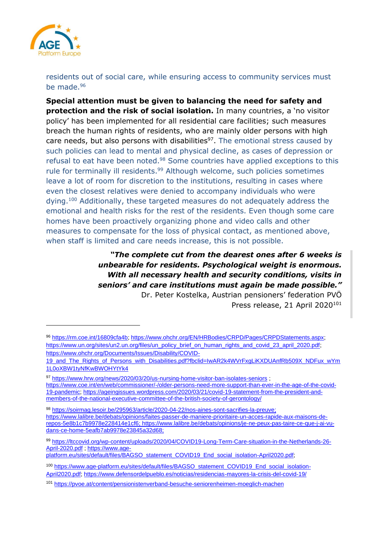

residents out of social care, while ensuring access to community services must be made.<sup>96</sup>

**Special attention must be given to balancing the need for safety and protection and the risk of social isolation.** In many countries, a 'no visitor policy' has been implemented for all residential care facilities; such measures breach the human rights of residents, who are mainly older persons with high care needs, but also persons with disabilities<sup>97</sup>. The emotional stress caused by such policies can lead to mental and physical decline, as cases of depression or refusal to eat have been noted.<sup>98</sup> Some countries have applied exceptions to this rule for terminally ill residents.<sup>99</sup> Although welcome, such policies sometimes leave a lot of room for discretion to the institutions, resulting in cases where even the closest relatives were denied to accompany individuals who were dying.<sup>100</sup> Additionally, these targeted measures do not adequately address the emotional and health risks for the rest of the residents. Even though some care homes have been proactively organizing phone and video calls and other measures to compensate for the loss of physical contact, as mentioned above, when staff is limited and care needs increase, this is not possible.

> *"The complete cut from the dearest ones after 6 weeks is unbearable for residents. Psychological weight is enormous. With all necessary health and security conditions, visits in seniors' and care institutions must again be made possible."*

Dr. Peter Kostelka, Austrian pensioners' federation PVÖ Press release, 21 April 2020<sup>101</sup>

<sup>97</sup> <https://www.hrw.org/news/2020/03/20/us-nursing-home-visitor-ban-isolates-seniors> ;

<sup>96</sup> [https://rm.coe.int/16809cfa4b;](https://rm.coe.int/16809cfa4b) [https://www.ohchr.org/EN/HRBodies/CRPD/Pages/CRPDStatements.aspx;](https://www.ohchr.org/EN/HRBodies/CRPD/Pages/CRPDStatements.aspx) [https://www.un.org/sites/un2.un.org/files/un\\_policy\\_brief\\_on\\_human\\_rights\\_and\\_covid\\_23\\_april\\_2020.pdf;](https://www.un.org/sites/un2.un.org/files/un_policy_brief_on_human_rights_and_covid_23_april_2020.pdf) [https://www.ohchr.org/Documents/Issues/Disability/COVID-](https://www.ohchr.org/Documents/Issues/Disability/COVID-19_and_The_Rights_of_Persons_with_Disabilities.pdf?fbclid=IwAR2k4WVrFxgLiKXDUAnfRb509X_NDFux_wYm1L0oXBW1tyNfKwBWOHYtYk4)

[<sup>19</sup>\\_and\\_The\\_Rights\\_of\\_Persons\\_with\\_Disabilities.pdf?fbclid=IwAR2k4WVrFxgLiKXDUAnfRb509X\\_NDFux\\_wYm](https://www.ohchr.org/Documents/Issues/Disability/COVID-19_and_The_Rights_of_Persons_with_Disabilities.pdf?fbclid=IwAR2k4WVrFxgLiKXDUAnfRb509X_NDFux_wYm1L0oXBW1tyNfKwBWOHYtYk4) [1L0oXBW1tyNfKwBWOHYtYk4](https://www.ohchr.org/Documents/Issues/Disability/COVID-19_and_The_Rights_of_Persons_with_Disabilities.pdf?fbclid=IwAR2k4WVrFxgLiKXDUAnfRb509X_NDFux_wYm1L0oXBW1tyNfKwBWOHYtYk4)

[https://www.coe.int/en/web/commissioner/-/older-persons-need-more-support-than-ever-in-the-age-of-the-covid-](https://www.coe.int/en/web/commissioner/-/older-persons-need-more-support-than-ever-in-the-age-of-the-covid-19-pandemic)[19-pandemic;](https://www.coe.int/en/web/commissioner/-/older-persons-need-more-support-than-ever-in-the-age-of-the-covid-19-pandemic) [https://ageingissues.wordpress.com/2020/03/21/covid-19-statement-from-the-president-and](https://ageingissues.wordpress.com/2020/03/21/covid-19-statement-from-the-president-and-members-of-the-national-executive-committee-of-the-british-society-of-gerontology/)[members-of-the-national-executive-committee-of-the-british-society-of-gerontology/](https://ageingissues.wordpress.com/2020/03/21/covid-19-statement-from-the-president-and-members-of-the-national-executive-committee-of-the-british-society-of-gerontology/)

<sup>98</sup> [https://soirmag.lesoir.be/295963/article/2020-04-22/nos-aines-sont-sacrifies-la-preuve;](https://soirmag.lesoir.be/295963/article/2020-04-22/nos-aines-sont-sacrifies-la-preuve) [https://www.lalibre.be/debats/opinions/faites-passer-de-maniere-prioritaire-un-acces-rapide-aux-maisons-de](https://www.lalibre.be/debats/opinions/faites-passer-de-maniere-prioritaire-un-acces-rapide-aux-maisons-de-repos-5e8b1c7b9978e228414e1cf6)[repos-5e8b1c7b9978e228414e1cf6;](https://www.lalibre.be/debats/opinions/faites-passer-de-maniere-prioritaire-un-acces-rapide-aux-maisons-de-repos-5e8b1c7b9978e228414e1cf6) [https://www.lalibre.be/debats/opinions/je-ne-peux-pas-taire-ce-que-j-ai-vu](https://www.lalibre.be/debats/opinions/je-ne-peux-pas-taire-ce-que-j-ai-vu-dans-ce-home-5eafb7ab9978e23845a32d68)[dans-ce-home-5eafb7ab9978e23845a32d68;](https://www.lalibre.be/debats/opinions/je-ne-peux-pas-taire-ce-que-j-ai-vu-dans-ce-home-5eafb7ab9978e23845a32d68)

<sup>99</sup> [https://ltccovid.org/wp-content/uploads/2020/04/COVID19-Long-Term-Care-situation-in-the-Netherlands-26-](https://ltccovid.org/wp-content/uploads/2020/04/COVID19-Long-Term-Care-situation-in-the-Netherlands-26-April-2020.pdf) [April-2020.pdf](https://ltccovid.org/wp-content/uploads/2020/04/COVID19-Long-Term-Care-situation-in-the-Netherlands-26-April-2020.pdf) [; https://www.age-](https://www.age-platform.eu/sites/default/files/BAGSO_statement_COVID19_End_social_isolation-April2020.pdf)

[platform.eu/sites/default/files/BAGSO\\_statement\\_COVID19\\_End\\_social\\_isolation-April2020.pdf;](https://www.age-platform.eu/sites/default/files/BAGSO_statement_COVID19_End_social_isolation-April2020.pdf)

<sup>100</sup> [https://www.age-platform.eu/sites/default/files/BAGSO\\_statement\\_COVID19\\_End\\_social\\_isolation-](https://www.age-platform.eu/sites/default/files/BAGSO_statement_COVID19_End_social_isolation-April2020.pdf)[April2020.pdf;](https://www.age-platform.eu/sites/default/files/BAGSO_statement_COVID19_End_social_isolation-April2020.pdf)<https://www.defensordelpueblo.es/noticias/residencias-mayores-la-crisis-del-covid-19/>

<sup>101</sup> <https://pvoe.at/content/pensionistenverband-besuche-seniorenheimen-moeglich-machen>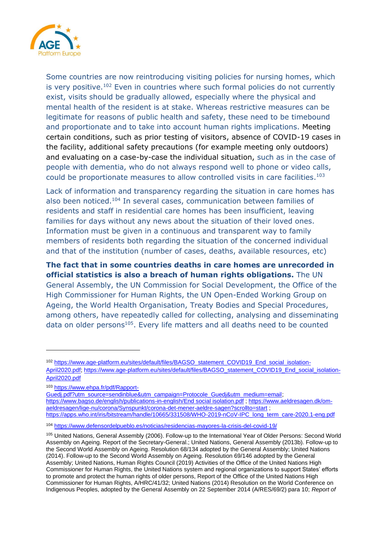

Some countries are now reintroducing visiting policies for nursing homes, which is very positive.<sup>102</sup> Even in countries where such formal policies do not currently exist, visits should be gradually allowed, especially where the physical and mental health of the resident is at stake. Whereas restrictive measures can be legitimate for reasons of public health and safety, these need to be timebound and proportionate and to take into account human rights implications. Meeting certain conditions, such as prior testing of visitors, absence of COVID-19 cases in the facility, additional safety precautions (for example meeting only outdoors) and evaluating on a case-by-case the individual situation, such as in the case of people with dementia, who do not always respond well to phone or video calls, could be proportionate measures to allow controlled visits in care facilities. 103

Lack of information and transparency regarding the situation in care homes has also been noticed.<sup>104</sup> In several cases, communication between families of residents and staff in residential care homes has been insufficient, leaving families for days without any news about the situation of their loved ones. Information must be given in a continuous and transparent way to family members of residents both regarding the situation of the concerned individual and that of the institution (number of cases, deaths, available resources, etc)

**The fact that in some countries deaths in care homes are unrecorded in official statistics is also a breach of human rights obligations.** The UN General Assembly, the UN Commission for Social Development, the Office of the High Commissioner for Human Rights, the UN Open-Ended Working Group on Ageing, the World Health Organisation, Treaty Bodies and Special Procedures, among others, have repeatedly called for collecting, analysing and disseminating data on older persons<sup>105</sup>. Every life matters and all deaths need to be counted

<sup>102</sup> [https://www.age-platform.eu/sites/default/files/BAGSO\\_statement\\_COVID19\\_End\\_social\\_isolation-](https://www.age-platform.eu/sites/default/files/BAGSO_statement_COVID19_End_social_isolation-April2020.pdf)[April2020.pdf; https://www.age-platform.eu/sites/default/files/BAGSO\\_statement\\_COVID19\\_End\\_social\\_isolation-](https://www.age-platform.eu/sites/default/files/BAGSO_statement_COVID19_End_social_isolation-April2020.pdf)[April2020.pdf](https://www.age-platform.eu/sites/default/files/BAGSO_statement_COVID19_End_social_isolation-April2020.pdf)

<sup>103</sup> [https://www.ehpa.fr/pdf/Rapport-](https://www.ehpa.fr/pdf/Rapport-Guedj.pdf?utm_source=sendinblue&utm_campaign=Protocole_Guedj&utm_medium=email)

[Guedj.pdf?utm\\_source=sendinblue&utm\\_campaign=Protocole\\_Guedj&utm\\_medium=email;](https://www.ehpa.fr/pdf/Rapport-Guedj.pdf?utm_source=sendinblue&utm_campaign=Protocole_Guedj&utm_medium=email) https://www.bagso.de/english/publications-in-english/End social [isolation.pdf](https://rightsofolderpeople.org/community/forofile/b8255174dcb2a1ea413fde461657eb2a/) ; [https://www.aeldresagen.dk/om](https://www.aeldresagen.dk/om-aeldresagen/lige-nu/corona/Synspunkt/corona-det-mener-aeldre-sagen?scrollto=start)[aeldresagen/lige-nu/corona/Synspunkt/corona-det-mener-aeldre-sagen?scrollto=start](https://www.aeldresagen.dk/om-aeldresagen/lige-nu/corona/Synspunkt/corona-det-mener-aeldre-sagen?scrollto=start) ; [https://apps.who.int/iris/bitstream/handle/10665/331508/WHO-2019-nCoV-IPC\\_long\\_term\\_care-2020.1-eng.pdf](https://apps.who.int/iris/bitstream/handle/10665/331508/WHO-2019-nCoV-IPC_long_term_care-2020.1-eng.pdf)

<sup>104</sup> <https://www.defensordelpueblo.es/noticias/residencias-mayores-la-crisis-del-covid-19/>

<sup>105</sup> United Nations, General Assembly (2006). Follow-up to the International Year of Older Persons: Second World Assembly on Ageing. Report of the Secretary-General.; United Nations, General Assembly (2013b). Follow-up to the Second World Assembly on Ageing. Resolution 68/134 adopted by the General Assembly; United Nations (2014). Follow-up to the Second World Assembly on Ageing. Resolution 69/146 adopted by the General Assembly; United Nations, Human Rights Council (2019) Activities of the Office of the United Nations High Commissioner for Human Rights, the United Nations system and regional organizations to support States' efforts to promote and protect the human rights of older persons, Report of the Office of the United Nations High Commissioner for Human Rights, A/HRC/41/32; United Nations (2014) Resolution on the World Conference on Indigenous Peoples, adopted by the General Assembly on 22 September 2014 (A/RES/69/2) para 10; *Report of*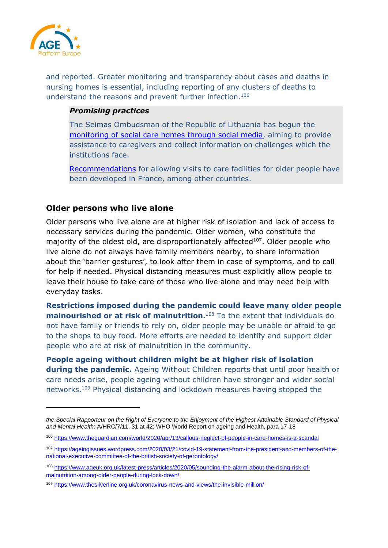

and reported. Greater monitoring and transparency about cases and deaths in nursing homes is essential, including reporting of any clusters of deaths to understand the reasons and prevent further infection.<sup>106</sup>

#### *Promising practices*

The Seimas Ombudsman of the Republic of Lithuania has begun the [monitoring of social care homes through social media,](http://www.lrski.lt/en/news/798-social-care-institutions-are-monitored-through-social-media.html) aiming to provide assistance to caregivers and collect information on challenges which the institutions face.

[Recommendations](https://www.ehpa.fr/pdf/Rapport-Guedj.pdf?utm_source=sendinblue&utm_campaign=Protocole_Guedj&utm_medium=email) for allowing visits to care facilities for older people have been developed in France, among other countries.

### <span id="page-26-0"></span>**Older persons who live alone**

Older persons who live alone are at higher risk of isolation and lack of access to necessary services during the pandemic. Older women, who constitute the majority of the oldest old, are disproportionately affected<sup>107</sup>. Older people who live alone do not always have family members nearby, to share information about the 'barrier gestures', to look after them in case of symptoms, and to call for help if needed. Physical distancing measures must explicitly allow people to leave their house to take care of those who live alone and may need help with everyday tasks.

**Restrictions imposed during the pandemic could leave many older people malnourished or at risk of malnutrition.**<sup>108</sup> To the extent that individuals do not have family or friends to rely on, older people may be unable or afraid to go to the shops to buy food. More efforts are needed to identify and support older people who are at risk of malnutrition in the community.

**People ageing without children might be at higher risk of isolation during the pandemic.** Ageing Without Children reports that until poor health or care needs arise, people ageing without children have stronger and wider social networks.<sup>109</sup> Physical distancing and lockdown measures having stopped the

the Special Rapporteur on the Right of Everyone to the Enjoyment of the Highest Attainable Standard of Physical *and Mental Health*: A/HRC/7/11, 31 at 42; WHO World Report on ageing and Health, para 17-18

<sup>106</sup> <https://www.theguardian.com/world/2020/apr/13/callous-neglect-of-people-in-care-homes-is-a-scandal>

<sup>107</sup> [https://ageingissues.wordpress.com/2020/03/21/covid-19-statement-from-the-president-and-members-of-the](https://ageingissues.wordpress.com/2020/03/21/covid-19-statement-from-the-president-and-members-of-the-national-executive-committee-of-the-british-society-of-gerontology/)[national-executive-committee-of-the-british-society-of-gerontology/](https://ageingissues.wordpress.com/2020/03/21/covid-19-statement-from-the-president-and-members-of-the-national-executive-committee-of-the-british-society-of-gerontology/)

<sup>108</sup> [https://www.ageuk.org.uk/latest-press/articles/2020/05/sounding-the-alarm-about-the-rising-risk-of](https://www.ageuk.org.uk/latest-press/articles/2020/05/sounding-the-alarm-about-the-rising-risk-of-malnutrition-among-older-people-during-lock-down/)[malnutrition-among-older-people-during-lock-down/](https://www.ageuk.org.uk/latest-press/articles/2020/05/sounding-the-alarm-about-the-rising-risk-of-malnutrition-among-older-people-during-lock-down/)

<sup>109</sup> <https://www.thesilverline.org.uk/coronavirus-news-and-views/the-invisible-million/>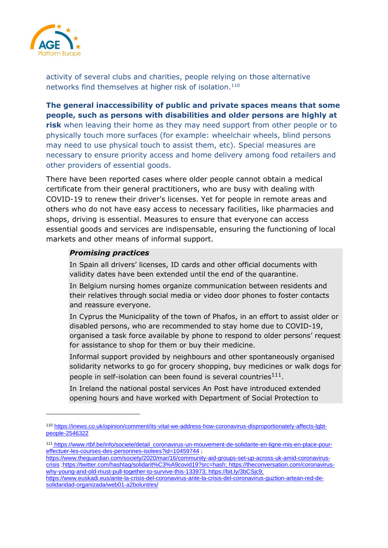

activity of several clubs and charities, people relying on those alternative networks find themselves at higher risk of isolation.<sup>110</sup>

**The general inaccessibility of public and private spaces means that some people, such as persons with disabilities and older persons are highly at risk** when leaving their home as they may need support from other people or to physically touch more surfaces (for example: wheelchair wheels, blind persons may need to use physical touch to assist them, etc). Special measures are necessary to ensure priority access and home delivery among food retailers and other providers of essential goods.

There have been reported cases where older people cannot obtain a medical certificate from their general practitioners, who are busy with dealing with COVID-19 to renew their driver's licenses. Yet for people in remote areas and others who do not have easy access to necessary facilities, like pharmacies and shops, driving is essential. Measures to ensure that everyone can access essential goods and services are indispensable, ensuring the functioning of local markets and other means of informal support.

#### *Promising practices*

In Spain all drivers' licenses, ID cards and other official documents with validity dates have been extended until the end of the quarantine.

In Belgium nursing homes organize communication between residents and their relatives through social media or video door phones to foster contacts and reassure everyone.

In Cyprus the Municipality of the town of Phafos, in an effort to assist older or disabled persons, who are recommended to stay home due to COVID-19, organised a task force available by phone to respond to older persons' request for assistance to shop for them or buy their medicine.

Informal support provided by neighbours and other spontaneously organised solidarity networks to go for grocery shopping, buy medicines or walk dogs for people in self-isolation can been found is several countries $^{111}$ .

In Ireland the national postal services An Post have introduced extended opening hours and have worked with Department of Social Protection to

<sup>110</sup> [https://inews.co.uk/opinion/comment/its-vital-we-address-how-coronavirus-disproportionately-affects-lgbt](https://inews.co.uk/opinion/comment/its-vital-we-address-how-coronavirus-disproportionately-affects-lgbt-people-2546322)[people-2546322](https://inews.co.uk/opinion/comment/its-vital-we-address-how-coronavirus-disproportionately-affects-lgbt-people-2546322)

<sup>111</sup> [https://www.rtbf.be/info/societe/detail\\_coronavirus-un-mouvement-de-solidarite-en-ligne-mis-en-place-pour](https://www.rtbf.be/info/societe/detail_coronavirus-un-mouvement-de-solidarite-en-ligne-mis-en-place-pour-effectuer-les-courses-des-personnes-isolees?id=10459744)[effectuer-les-courses-des-personnes-isolees?id=10459744](https://www.rtbf.be/info/societe/detail_coronavirus-un-mouvement-de-solidarite-en-ligne-mis-en-place-pour-effectuer-les-courses-des-personnes-isolees?id=10459744) ;

[https://www.theguardian.com/society/2020/mar/16/community-aid-groups-set-up-across-uk-amid-coronavirus](https://www.theguardian.com/society/2020/mar/16/community-aid-groups-set-up-across-uk-amid-coronavirus-crisis)[crisis](https://www.theguardian.com/society/2020/mar/16/community-aid-groups-set-up-across-uk-amid-coronavirus-crisis) [;https://twitter.com/hashtag/solidarit%C3%A9covid19?src=hash;](https://twitter.com/hashtag/solidarit%C3%A9covid19?src=hash) [https://theconversation.com/coronavirus](https://theconversation.com/coronavirus-why-young-and-old-must-pull-together-to-survive-this-133973)[why-young-and-old-must-pull-together-to-survive-this-133973;](https://theconversation.com/coronavirus-why-young-and-old-must-pull-together-to-survive-this-133973) [https://bit.ly/3bCSjc9;](https://bit.ly/3bCSjc9)

[https://www.euskadi.eus/ante-la-crisis-del-coronavirus-ante-la-crisis-del-coronavirus-guztion-artean-red-de](https://www.euskadi.eus/ante-la-crisis-del-coronavirus-ante-la-crisis-del-coronavirus-guztion-artean-red-de-solidaridad-organizada/web01-a2bolunt/es/)[solidaridad-organizada/web01-a2bolunt/es/](https://www.euskadi.eus/ante-la-crisis-del-coronavirus-ante-la-crisis-del-coronavirus-guztion-artean-red-de-solidaridad-organizada/web01-a2bolunt/es/)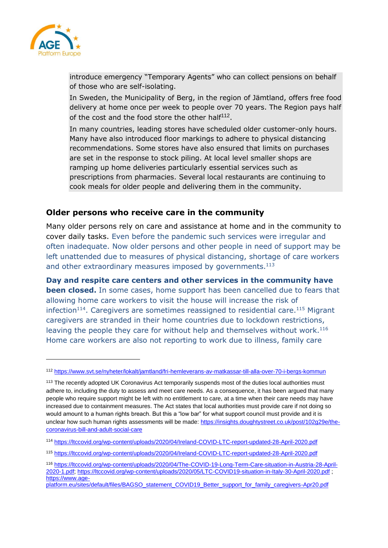

introduce emergency "Temporary Agents" who can collect pensions on behalf of those who are self-isolating.

In Sweden, the Municipality of Berg, in the region of Jämtland, offers free food delivery at home once per week to people over 70 years. The Region pays half of the cost and the food store the other half<sup>112</sup>.

In many countries, leading stores have scheduled older customer-only hours. Many have also introduced floor markings to adhere to physical distancing recommendations. Some stores have also ensured that limits on purchases are set in the response to stock piling. At local level smaller shops are ramping up home deliveries particularly essential services such as prescriptions from pharmacies. Several local restaurants are continuing to cook meals for older people and delivering them in the community.

### <span id="page-28-0"></span>**Older persons who receive care in the community**

Many older persons rely on care and assistance at home and in the community to cover daily tasks. Even before the pandemic such services were irregular and often inadequate. Now older persons and other people in need of support may be left unattended due to measures of physical distancing, shortage of care workers and other extraordinary measures imposed by governments.<sup>113</sup>

**Day and respite care centers and other services in the community have been closed.** In some cases, home support has been cancelled due to fears that allowing home care workers to visit the house will increase the risk of infection<sup>114</sup>. Caregivers are sometimes reassigned to residential care.<sup>115</sup> Migrant caregivers are stranded in their home countries due to lockdown restrictions, leaving the people they care for without help and themselves without work.<sup>116</sup> Home care workers are also not reporting to work due to illness, family care

<sup>112</sup> <https://www.svt.se/nyheter/lokalt/jamtland/fri-hemleverans-av-matkassar-till-alla-over-70-i-bergs-kommun>

<sup>&</sup>lt;sup>113</sup> The recently adopted UK Coronavirus Act temporarily suspends most of the duties local authorities must adhere to, including the duty to assess and meet care needs. As a consequence, it has been argued that many people who require support might be left with no entitlement to care, at a time when their care needs may have increased due to containment measures. The Act states that local authorities must provide care if not doing so would amount to a human rights breach. But this a "low bar" for what support council must provide and it is unclear how such human rights assessments will be made: [https://insights.doughtystreet.co.uk/post/102g29e/the](https://insights.doughtystreet.co.uk/post/102g29e/the-coronavirus-bill-and-adult-social-care)[coronavirus-bill-and-adult-social-care](https://insights.doughtystreet.co.uk/post/102g29e/the-coronavirus-bill-and-adult-social-care)

<sup>114</sup> <https://ltccovid.org/wp-content/uploads/2020/04/Ireland-COVID-LTC-report-updated-28-April-2020.pdf>

<sup>115</sup> <https://ltccovid.org/wp-content/uploads/2020/04/Ireland-COVID-LTC-report-updated-28-April-2020.pdf>

<sup>116</sup> [https://ltccovid.org/wp-content/uploads/2020/04/The-COVID-19-Long-Term-Care-situation-in-Austria-28-April-](https://ltccovid.org/wp-content/uploads/2020/04/The-COVID-19-Long-Term-Care-situation-in-Austria-28-April-2020-1.pdf)[2020-1.pdf;](https://ltccovid.org/wp-content/uploads/2020/04/The-COVID-19-Long-Term-Care-situation-in-Austria-28-April-2020-1.pdf)<https://ltccovid.org/wp-content/uploads/2020/05/LTC-COVID19-situation-in-Italy-30-April-2020.pdf> ; [https://www.age-](https://www.age-platform.eu/sites/default/files/BAGSO_statement_COVID19_Better_support_for_family_caregivers-Apr20.pdf)

[platform.eu/sites/default/files/BAGSO\\_statement\\_COVID19\\_Better\\_support\\_for\\_family\\_caregivers-Apr20.pdf](https://www.age-platform.eu/sites/default/files/BAGSO_statement_COVID19_Better_support_for_family_caregivers-Apr20.pdf)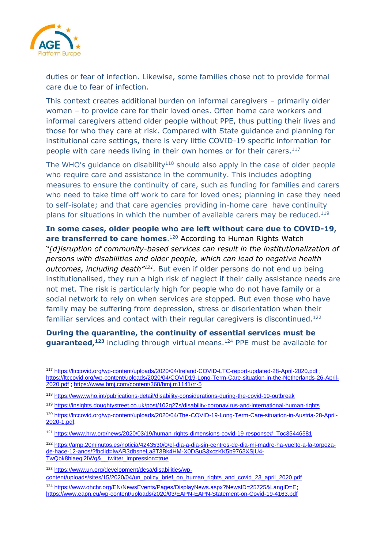

duties or fear of infection. Likewise, some families chose not to provide formal care due to fear of infection.

This context creates additional burden on informal caregivers – primarily older women – to provide care for their loved ones. Often home care workers and informal caregivers attend older people without PPE, thus putting their lives and those for who they care at risk. Compared with State guidance and planning for institutional care settings, there is very little COVID-19 specific information for people with care needs living in their own homes or for their carers. 117

The WHO's guidance on disability<sup>118</sup> should also apply in the case of older people who require care and assistance in the community. This includes adopting measures to ensure the continuity of care, such as funding for families and carers who need to take time off work to care for loved ones; planning in case they need to self-isolate; and that care agencies providing in-home care have continuity plans for situations in which the number of available carers may be reduced.<sup>119</sup>

**In some cases, older people who are left without care due to COVID-19,**  are transferred to care homes.<sup>120</sup> According to Human Rights Watch "*[d]isruption of community-based services can result in the institutionalization of persons with disabilities and older people, which can lead to negative health*  outcomes, including death<sup>''121</sup>. But even if older persons do not end up being institutionalised, they run a high risk of neglect if their daily assistance needs are not met. The risk is particularly high for people who do not have family or a social network to rely on when services are stopped. But even those who have family may be suffering from depression, stress or disorientation when their familiar services and contact with their regular caregivers is discontinued.<sup>122</sup>

**During the quarantine, the continuity of essential services must be guaranteed,<sup>123</sup>** including through virtual means. <sup>124</sup> PPE must be available for

<sup>123</sup> [https://www.un.org/development/desa/disabilities/wp](https://www.un.org/development/desa/disabilities/wp-content/uploads/sites/15/2020/04/un_policy_brief_on_human_rights_and_covid_23_april_2020.pdf)[content/uploads/sites/15/2020/04/un\\_policy\\_brief\\_on\\_human\\_rights\\_and\\_covid\\_23\\_april\\_2020.pdf](https://www.un.org/development/desa/disabilities/wp-content/uploads/sites/15/2020/04/un_policy_brief_on_human_rights_and_covid_23_april_2020.pdf)

<sup>117</sup> <https://ltccovid.org/wp-content/uploads/2020/04/Ireland-COVID-LTC-report-updated-28-April-2020.pdf> ; [https://ltccovid.org/wp-content/uploads/2020/04/COVID19-Long-Term-Care-situation-in-the-Netherlands-26-April-](https://ltccovid.org/wp-content/uploads/2020/04/COVID19-Long-Term-Care-situation-in-the-Netherlands-26-April-2020.pdf)[2020.pdf](https://ltccovid.org/wp-content/uploads/2020/04/COVID19-Long-Term-Care-situation-in-the-Netherlands-26-April-2020.pdf) [; https://www.bmj.com/content/368/bmj.m1141/rr-5](https://www.bmj.com/content/368/bmj.m1141/rr-5)

<sup>118</sup> <https://www.who.int/publications-detail/disability-considerations-during-the-covid-19-outbreak>

<sup>119</sup> <https://insights.doughtystreet.co.uk/post/102g27s/disability-coronavirus-and-international-human-rights>

<sup>120</sup> [https://ltccovid.org/wp-content/uploads/2020/04/The-COVID-19-Long-Term-Care-situation-in-Austria-28-April-](https://ltccovid.org/wp-content/uploads/2020/04/The-COVID-19-Long-Term-Care-situation-in-Austria-28-April-2020-1.pdf)[2020-1.pdf;](https://ltccovid.org/wp-content/uploads/2020/04/The-COVID-19-Long-Term-Care-situation-in-Austria-28-April-2020-1.pdf)

<sup>121</sup> [https://www.hrw.org/news/2020/03/19/human-rights-dimensions-covid-19-response#\\_Toc35446581](https://www.hrw.org/news/2020/03/19/human-rights-dimensions-covid-19-response#_Toc35446581)

<sup>122</sup> [https://amp.20minutos.es/noticia/4243530/0/el-dia-a-dia-sin-centros-de-dia-mi-madre-ha-vuelto-a-la-torpeza](https://amp.20minutos.es/noticia/4243530/0/el-dia-a-dia-sin-centros-de-dia-mi-madre-ha-vuelto-a-la-torpeza-de-hace-12-anos/?fbclid=IwAR3dbsneLa3T3Bk4HM-X0DSuS3xczKK5b9763XSjU4-TwQbk8hlaeqi2IWg&__twitter_impression=true)[de-hace-12-anos/?fbclid=IwAR3dbsneLa3T3Bk4HM-X0DSuS3xczKK5b9763XSjU4-](https://amp.20minutos.es/noticia/4243530/0/el-dia-a-dia-sin-centros-de-dia-mi-madre-ha-vuelto-a-la-torpeza-de-hace-12-anos/?fbclid=IwAR3dbsneLa3T3Bk4HM-X0DSuS3xczKK5b9763XSjU4-TwQbk8hlaeqi2IWg&__twitter_impression=true) [TwQbk8hlaeqi2IWg&\\_\\_twitter\\_impression=true](https://amp.20minutos.es/noticia/4243530/0/el-dia-a-dia-sin-centros-de-dia-mi-madre-ha-vuelto-a-la-torpeza-de-hace-12-anos/?fbclid=IwAR3dbsneLa3T3Bk4HM-X0DSuS3xczKK5b9763XSjU4-TwQbk8hlaeqi2IWg&__twitter_impression=true)

<sup>124</sup> [https://www.ohchr.org/EN/NewsEvents/Pages/DisplayNews.aspx?NewsID=25725&LangID=E;](https://www.ohchr.org/EN/NewsEvents/Pages/DisplayNews.aspx?NewsID=25725&LangID=E) <https://www.eapn.eu/wp-content/uploads/2020/03/EAPN-EAPN-Statement-on-Covid-19-4163.pdf>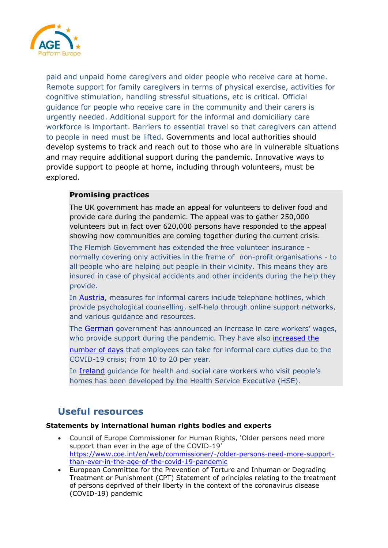

paid and unpaid home caregivers and older people who receive care at home. Remote support for family caregivers in terms of physical exercise, activities for cognitive stimulation, handling stressful situations, etc is critical. Official guidance for people who receive care in the community and their carers is urgently needed. Additional support for the informal and domiciliary care workforce is important. Barriers to essential travel so that caregivers can attend to people in need must be lifted. Governments and local authorities should develop systems to track and reach out to those who are in vulnerable situations and may require additional support during the pandemic. Innovative ways to provide support to people at home, including through volunteers, must be explored.

### **Promising practices**

The UK government has made an appeal for volunteers to deliver food and provide care during the pandemic. The appeal was to gather 250,000 volunteers but in fact over 620,000 persons have responded to the appeal showing how communities are coming together during the current crisis.

The Flemish Government has extended the [free volunteer insurance](https://www.vlaanderenvrijwilligt.be/) normally covering only activities in the frame of non-profit organisations - to all people who are helping out people in their vicinity. This means they are insured in case of physical accidents and other incidents during the help they provide.

In [Austria](https://ltccovid.org/wp-content/uploads/2020/04/The-COVID-19-Long-Term-Care-situation-in-Austria-28-April-2020-1.pdf), measures for informal carers include telephone hotlines, which provide psychological counselling, self-help through online support networks, and various guidance and resources.

The [German](https://ltccovid.org/wp-content/uploads/2020/05/Germany_LTC_COVID-19-6-May-2020.pdf%5C) government has announced an increase in care workers' wages, who provide support during the pandemic. They have also [increased the](http://www.bmfsfj.de/bmfsfj/aktuelles/presse/pressemitteilungen/akuthilfe-fuer-pflegende-angehoerige-beschlossen/155550)

[number of days](http://www.bmfsfj.de/bmfsfj/aktuelles/presse/pressemitteilungen/akuthilfe-fuer-pflegende-angehoerige-beschlossen/155550) that employees can take for informal care duties due to the COVID-19 crisis; from 10 to 20 per year.

In [Ireland](https://ltccovid.org/wp-content/uploads/2020/04/Ireland-COVID-LTC-report-updated-28-April-2020.pdf) guidance for health and social care workers who visit people's homes has been developed by the Health Service Executive (HSE).

### <span id="page-30-0"></span>**Useful resources**

#### <span id="page-30-1"></span>**Statements by international human rights bodies and experts**

- Council of Europe Commissioner for Human Rights, 'Older persons need more support than ever in the age of the COVID-19' [https://www.coe.int/en/web/commissioner/-/older-persons-need-more-support](https://www.coe.int/en/web/commissioner/-/older-persons-need-more-support-than-ever-in-the-age-of-the-covid-19-pandemic)[than-ever-in-the-age-of-the-covid-19-pandemic](https://www.coe.int/en/web/commissioner/-/older-persons-need-more-support-than-ever-in-the-age-of-the-covid-19-pandemic)
- European Committee for the Prevention of Torture and Inhuman or Degrading Treatment or Punishment (CPT) Statement of principles relating to the treatment of persons deprived of their liberty in the context of the coronavirus disease (COVID-19) pandemic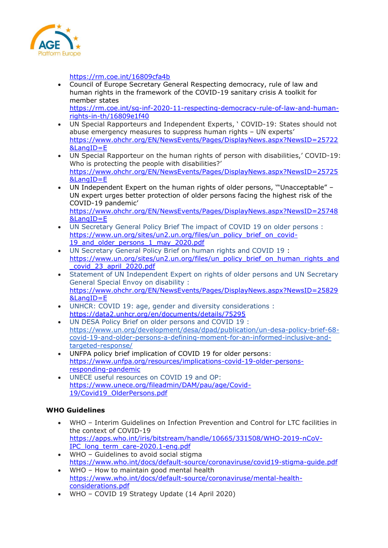

<https://rm.coe.int/16809cfa4b>

• Council of Europe Secretary General Respecting democracy, rule of law and human rights in the framework of the COVID-19 sanitary crisis A toolkit for member states

[https://rm.coe.int/sg-inf-2020-11-respecting-democracy-rule-of-law-and-human](https://rm.coe.int/sg-inf-2020-11-respecting-democracy-rule-of-law-and-human-rights-in-th/16809e1f40)[rights-in-th/16809e1f40](https://rm.coe.int/sg-inf-2020-11-respecting-democracy-rule-of-law-and-human-rights-in-th/16809e1f40)

- UN Special Rapporteurs and Independent Experts, ' COVID-19: States should not abuse emergency measures to suppress human rights – UN experts' [https://www.ohchr.org/EN/NewsEvents/Pages/DisplayNews.aspx?NewsID=25722](https://www.ohchr.org/EN/NewsEvents/Pages/DisplayNews.aspx?NewsID=25722&LangID=E) [&LangID=E](https://www.ohchr.org/EN/NewsEvents/Pages/DisplayNews.aspx?NewsID=25722&LangID=E)
- UN Special Rapporteur on the human rights of person with disabilities,' COVID-19: Who is protecting the people with disabilities?' [https://www.ohchr.org/EN/NewsEvents/Pages/DisplayNews.aspx?NewsID=25725](https://www.ohchr.org/EN/NewsEvents/Pages/DisplayNews.aspx?NewsID=25725&LangID=E) [&LangID=E](https://www.ohchr.org/EN/NewsEvents/Pages/DisplayNews.aspx?NewsID=25725&LangID=E)
- UN Independent Expert on the human rights of older persons, '"Unacceptable" UN expert urges better protection of older persons facing the highest risk of the COVID-19 pandemic'

[https://www.ohchr.org/EN/NewsEvents/Pages/DisplayNews.aspx?NewsID=25748](https://www.ohchr.org/EN/NewsEvents/Pages/DisplayNews.aspx?NewsID=25748&LangID=E) [&LangID=E](https://www.ohchr.org/EN/NewsEvents/Pages/DisplayNews.aspx?NewsID=25748&LangID=E)

- UN [Secretary](https://www.un.org/sites/un2.un.org/files/un_policy_brief_on_covid-19_and_older_persons_1_may_2020.pdf) General Policy Brief The impact of COVID 19 on older persons : [https://www.un.org/sites/un2.un.org/files/un\\_policy\\_brief\\_on\\_covid-](https://www.un.org/sites/un2.un.org/files/un_policy_brief_on_covid-19_and_older_persons_1_may_2020.pdf)[19\\_and\\_older\\_persons\\_1\\_may\\_2020.pdf](https://www.un.org/sites/un2.un.org/files/un_policy_brief_on_covid-19_and_older_persons_1_may_2020.pdf)
- UN Secretary General Policy Brief on human rights and COVID 19 : [https://www.un.org/sites/un2.un.org/files/un\\_policy\\_brief\\_on\\_human\\_rights\\_and](https://www.un.org/sites/un2.un.org/files/un_policy_brief_on_human_rights_and_covid_23_april_2020.pdf) [\\_covid\\_23\\_april\\_2020.pdf](https://www.un.org/sites/un2.un.org/files/un_policy_brief_on_human_rights_and_covid_23_april_2020.pdf)
- Statement of UN Independent Expert on rights of older persons and UN Secretary General Special Envoy on disability : [https://www.ohchr.org/EN/NewsEvents/Pages/DisplayNews.aspx?NewsID=25829](https://www.ohchr.org/EN/NewsEvents/Pages/DisplayNews.aspx?NewsID=25829&LangID=E) [&LangID=E](https://www.ohchr.org/EN/NewsEvents/Pages/DisplayNews.aspx?NewsID=25829&LangID=E)
- UNHCR: COVID 19: age, gender and diversity considerations : <https://data2.unhcr.org/en/documents/details/75295>
- UN DESA Policy Brief on older persons and COVID 19 : [https://www.un.org/development/desa/dpad/publication/un-desa-policy-brief-68](https://www.un.org/development/desa/dpad/publication/un-desa-policy-brief-68-covid-19-and-older-persons-a-defining-moment-for-an-informed-inclusive-and-targeted-response/) [covid-19-and-older-persons-a-defining-moment-for-an-informed-inclusive-and](https://www.un.org/development/desa/dpad/publication/un-desa-policy-brief-68-covid-19-and-older-persons-a-defining-moment-for-an-informed-inclusive-and-targeted-response/)[targeted-response/](https://www.un.org/development/desa/dpad/publication/un-desa-policy-brief-68-covid-19-and-older-persons-a-defining-moment-for-an-informed-inclusive-and-targeted-response/)
- UNFPA policy brief implication of COVID 19 for older persons: [https://www.unfpa.org/resources/implications-covid-19-older-persons](https://www.unfpa.org/resources/implications-covid-19-older-persons-responding-pandemic)[responding-pandemic](https://www.unfpa.org/resources/implications-covid-19-older-persons-responding-pandemic)
- UNECE useful resources on COVID 19 and OP: [https://www.unece.org/fileadmin/DAM/pau/age/Covid-](https://www.unece.org/fileadmin/DAM/pau/age/Covid-19/Covid19_OlderPersons.pdf)[19/Covid19\\_OlderPersons.pdf](https://www.unece.org/fileadmin/DAM/pau/age/Covid-19/Covid19_OlderPersons.pdf)

### <span id="page-31-0"></span>**WHO Guidelines**

- WHO Interim Guidelines on Infection Prevention and Control for LTC facilities in the context of COVID-19 [https://apps.who.int/iris/bitstream/handle/10665/331508/WHO-2019-nCoV-](https://apps.who.int/iris/bitstream/handle/10665/331508/WHO-2019-nCoV-IPC_long_term_care-2020.1-eng.pdf)[IPC\\_long\\_term\\_care-2020.1-eng.pdf](https://apps.who.int/iris/bitstream/handle/10665/331508/WHO-2019-nCoV-IPC_long_term_care-2020.1-eng.pdf)
- WHO Guidelines to avoid social stigma <https://www.who.int/docs/default-source/coronaviruse/covid19-stigma-guide.pdf>
- WHO How to maintain good mental health [https://www.who.int/docs/default-source/coronaviruse/mental-health](https://www.who.int/docs/default-source/coronaviruse/mental-health-considerations.pdf)[considerations.pdf](https://www.who.int/docs/default-source/coronaviruse/mental-health-considerations.pdf)
- WHO COVID 19 Strategy Update (14 April 2020)